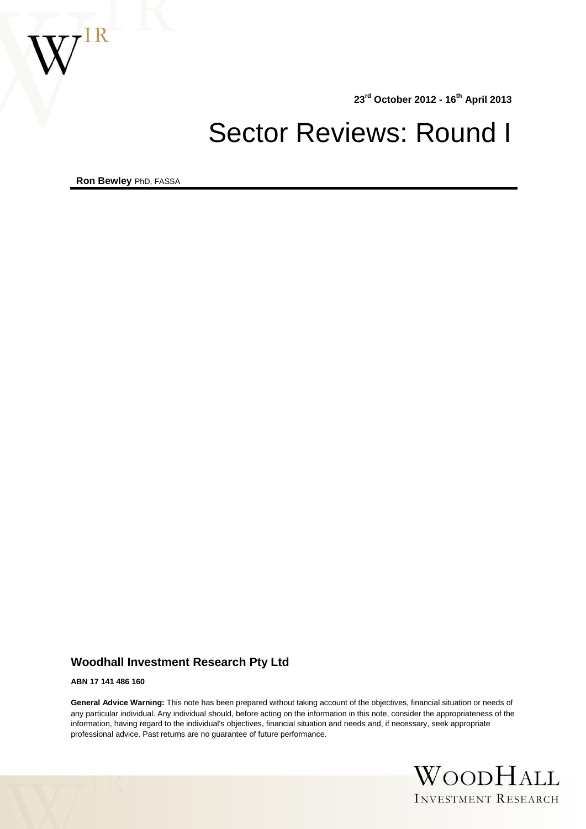

**23rd October 2012 - 16th April 2013**

# Sector Reviews: Round I

**Ron Bewley** PhD, FASSA

## **Woodhall Investment Research Pty Ltd**

**ABN 17 141 486 160**

**General Advice Warning:** This note has been prepared without taking account of the objectives, financial situation or needs of any particular individual. Any individual should, before acting on the information in this note, consider the appropriateness of the information, having regard to the individual's objectives, financial situation and needs and, if necessary, seek appropriate professional advice. Past returns are no guarantee of future performance.

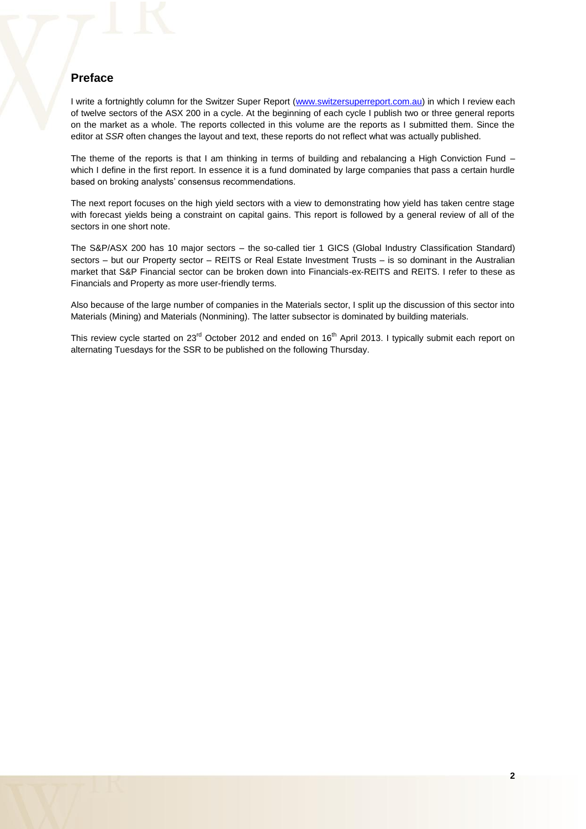## **Preface**

I write a fortnightly column for the Switzer Super Report [\(www.switzersuperreport.com.au\)](http://www.switzersuperreport.com.au/) in which I review each of twelve sectors of the ASX 200 in a cycle. At the beginning of each cycle I publish two or three general reports on the market as a whole. The reports collected in this volume are the reports as I submitted them. Since the editor at *SSR* often changes the layout and text, these reports do not reflect what was actually published.

The theme of the reports is that I am thinking in terms of building and rebalancing a High Conviction Fund which I define in the first report. In essence it is a fund dominated by large companies that pass a certain hurdle based on broking analysts' consensus recommendations.

The next report focuses on the high yield sectors with a view to demonstrating how yield has taken centre stage with forecast yields being a constraint on capital gains. This report is followed by a general review of all of the sectors in one short note.

The S&P/ASX 200 has 10 major sectors – the so-called tier 1 GICS (Global Industry Classification Standard) sectors – but our Property sector – REITS or Real Estate Investment Trusts – is so dominant in the Australian market that S&P Financial sector can be broken down into Financials-ex-REITS and REITS. I refer to these as Financials and Property as more user-friendly terms.

Also because of the large number of companies in the Materials sector, I split up the discussion of this sector into Materials (Mining) and Materials (Nonmining). The latter subsector is dominated by building materials.

This review cycle started on 23<sup>rd</sup> October 2012 and ended on 16<sup>th</sup> April 2013. I typically submit each report on alternating Tuesdays for the SSR to be published on the following Thursday.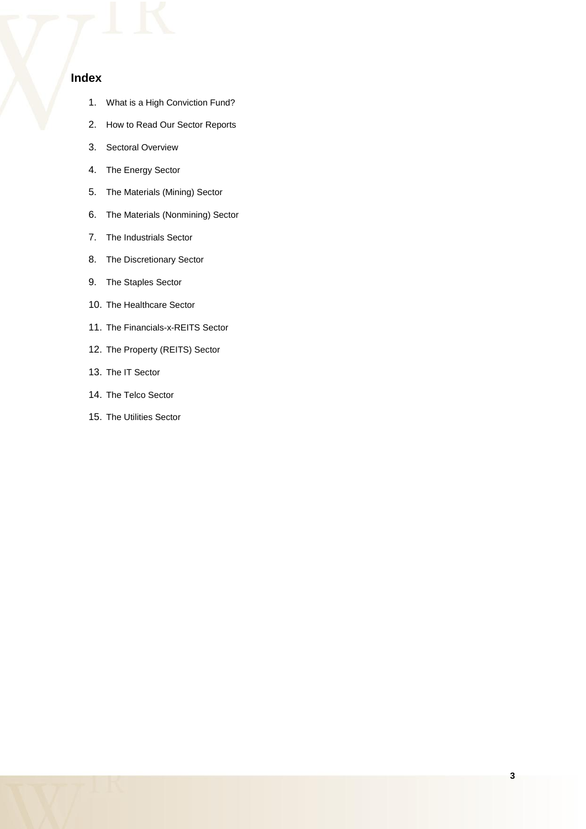## **Index**

- 1. What is a High Conviction Fund?
- 2. How to Read Our Sector Reports
- 3. Sectoral Overview
- 4. The Energy Sector
- 5. The Materials (Mining) Sector
- 6. The Materials (Nonmining) Sector
- 7. The Industrials Sector
- 8. The Discretionary Sector
- 9. The Staples Sector
- 10. The Healthcare Sector
- 11. The Financials-x-REITS Sector
- 12. The Property (REITS) Sector
- 13. The IT Sector
- 14. The Telco Sector
- 15. The Utilities Sector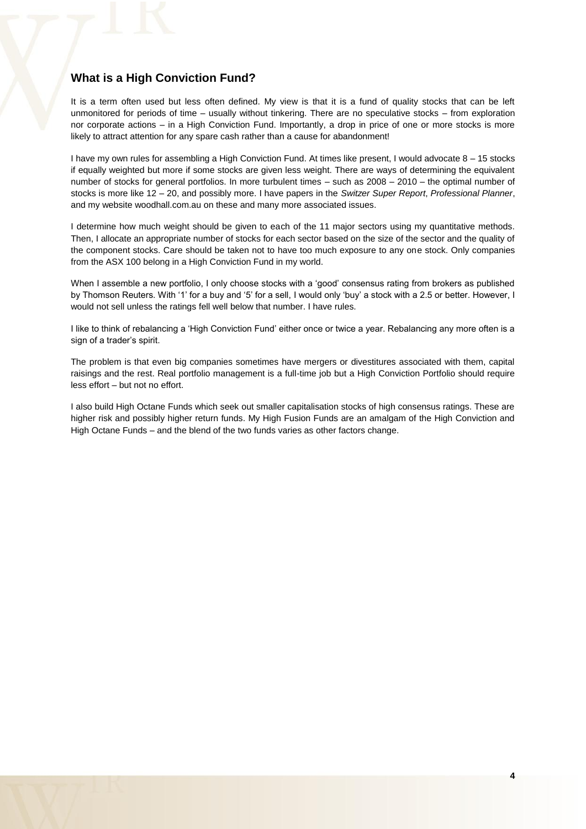## **What is a High Conviction Fund?**

It is a term often used but less often defined. My view is that it is a fund of quality stocks that can be left unmonitored for periods of time – usually without tinkering. There are no speculative stocks – from exploration nor corporate actions – in a High Conviction Fund. Importantly, a drop in price of one or more stocks is more likely to attract attention for any spare cash rather than a cause for abandonment!

I have my own rules for assembling a High Conviction Fund. At times like present, I would advocate 8 – 15 stocks if equally weighted but more if some stocks are given less weight. There are ways of determining the equivalent number of stocks for general portfolios. In more turbulent times – such as 2008 – 2010 – the optimal number of stocks is more like 12 – 20, and possibly more. I have papers in the *Switzer Super Report*, *Professional Planner*, and my website woodhall.com.au on these and many more associated issues.

I determine how much weight should be given to each of the 11 major sectors using my quantitative methods. Then, I allocate an appropriate number of stocks for each sector based on the size of the sector and the quality of the component stocks. Care should be taken not to have too much exposure to any one stock. Only companies from the ASX 100 belong in a High Conviction Fund in my world.

When I assemble a new portfolio, I only choose stocks with a 'good' consensus rating from brokers as published by Thomson Reuters. With '1' for a buy and '5' for a sell, I would only 'buy' a stock with a 2.5 or better. However, I would not sell unless the ratings fell well below that number. I have rules.

I like to think of rebalancing a 'High Conviction Fund' either once or twice a year. Rebalancing any more often is a sign of a trader's spirit.

The problem is that even big companies sometimes have mergers or divestitures associated with them, capital raisings and the rest. Real portfolio management is a full-time job but a High Conviction Portfolio should require less effort – but not no effort.

I also build High Octane Funds which seek out smaller capitalisation stocks of high consensus ratings. These are higher risk and possibly higher return funds. My High Fusion Funds are an amalgam of the High Conviction and High Octane Funds – and the blend of the two funds varies as other factors change.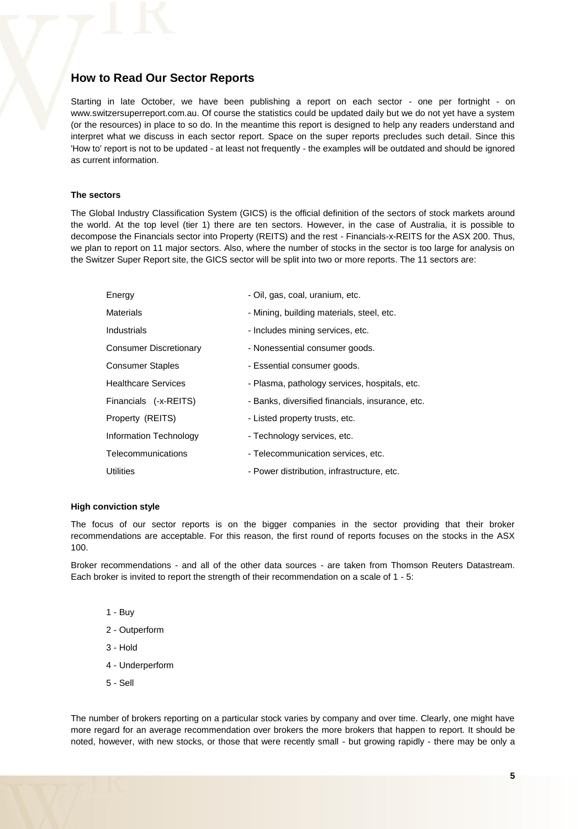## **How to Read Our Sector Reports**

Starting in late October, we have been publishing a report on each sector - one per fortnight - on www.switzersuperreport.com.au. Of course the statistics could be updated daily but we do not yet have a system (or the resources) in place to so do. In the meantime this report is designed to help any readers understand and interpret what we discuss in each sector report. Space on the super reports precludes such detail. Since this 'How to' report is not to be updated - at least not frequently - the examples will be outdated and should be ignored as current information.

#### **The sectors**

The Global Industry Classification System (GICS) is the official definition of the sectors of stock markets around the world. At the top level (tier 1) there are ten sectors. However, in the case of Australia, it is possible to decompose the Financials sector into Property (REITS) and the rest - Financials-x-REITS for the ASX 200. Thus, we plan to report on 11 major sectors. Also, where the number of stocks in the sector is too large for analysis on the Switzer Super Report site, the GICS sector will be split into two or more reports. The 11 sectors are:

| Energy                        | - Oil, gas, coal, uranium, etc.                  |
|-------------------------------|--------------------------------------------------|
| <b>Materials</b>              | - Mining, building materials, steel, etc.        |
| Industrials                   | - Includes mining services, etc.                 |
| <b>Consumer Discretionary</b> | - Nonessential consumer goods.                   |
| <b>Consumer Staples</b>       | - Essential consumer goods.                      |
| <b>Healthcare Services</b>    | - Plasma, pathology services, hospitals, etc.    |
| Financials (-x-REITS)         | - Banks, diversified financials, insurance, etc. |
| Property (REITS)              | - Listed property trusts, etc.                   |
| Information Technology        | - Technology services, etc.                      |
| Telecommunications            | - Telecommunication services, etc.               |
| <b>Utilities</b>              | - Power distribution, infrastructure, etc.       |

#### **High conviction style**

The focus of our sector reports is on the bigger companies in the sector providing that their broker recommendations are acceptable. For this reason, the first round of reports focuses on the stocks in the ASX  $100$ 

Broker recommendations - and all of the other data sources - are taken from Thomson Reuters Datastream. Each broker is invited to report the strength of their recommendation on a scale of 1 - 5:

- 1 Buy
- 2 Outperform
- 3 Hold
- 4 Underperform
- 5 Sell

The number of brokers reporting on a particular stock varies by company and over time. Clearly, one might have more regard for an average recommendation over brokers the more brokers that happen to report. It should be noted, however, with new stocks, or those that were recently small - but growing rapidly - there may be only a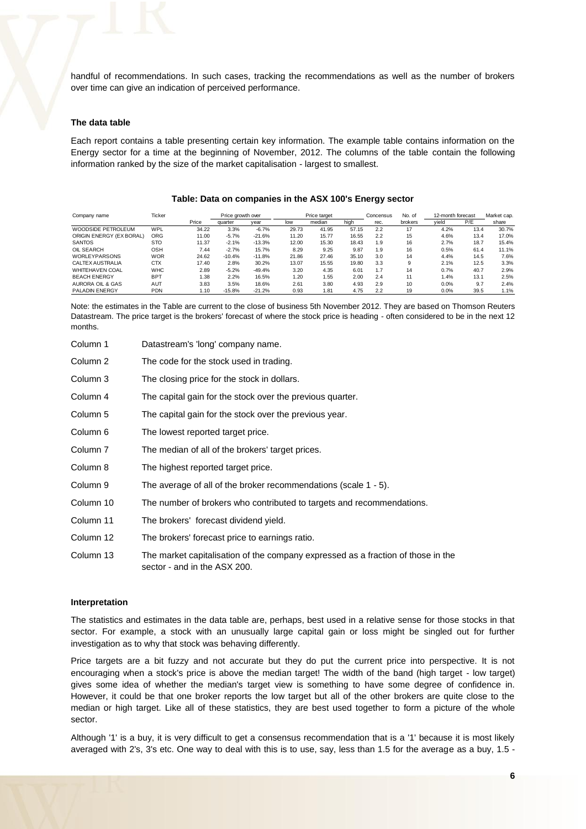handful of recommendations. In such cases, tracking the recommendations as well as the number of brokers over time can give an indication of perceived performance.

#### **The data table**

Each report contains a table presenting certain key information. The example table contains information on the Energy sector for a time at the beginning of November, 2012. The columns of the table contain the following information ranked by the size of the market capitalisation - largest to smallest.

| Company name                | Ticker     |       | Price growth over |          |       | Price target | No. of<br>12-month forecast<br>Concensus |      |         | Market cap. |      |       |
|-----------------------------|------------|-------|-------------------|----------|-------|--------------|------------------------------------------|------|---------|-------------|------|-------|
|                             |            | Price | quarter           | vear     | low   | median       | hiah                                     | rec. | brokers | vield       | P/E  | share |
| WOODSIDE PETROLEUM          | WPL        | 34.22 | 3.3%              | $-6.7%$  | 29.73 | 41.95        | 57.15                                    | 2.2  | 17      | 4.2%        | 13.4 | 30.7% |
| ORIGIN ENERGY (EX BORAL)    | ORG        | 11.00 | $-5.7%$           | $-21.6%$ | 11.20 | 15.77        | 16.55                                    | 2.2  | 15      | 4.6%        | 13.4 | 17.0% |
| <b>SANTOS</b>               | <b>STO</b> | 11.37 | $-2.1%$           | $-13.3%$ | 12.00 | 15.30        | 18.43                                    | 1.9  | 16      | 2.7%        | 18.7 | 15.4% |
| OIL SEARCH                  | OSH        | 7.44  | $-2.7%$           | 15.7%    | 8.29  | 9.25         | 9.87                                     | 1.9  | 16      | 0.5%        | 61.4 | 11.1% |
| <b>WORLEYPARSONS</b>        | <b>WOR</b> | 24.62 | $-10.4%$          | $-11.8%$ | 21.86 | 27.46        | 35.10                                    | 3.0  | 14      | 4.4%        | 14.5 | 7.6%  |
| CALTEX AUSTRALIA            | <b>CTX</b> | 17.40 | 2.8%              | 30.2%    | 13.07 | 15.55        | 19.80                                    | 3.3  | 9       | 2.1%        | 12.5 | 3.3%  |
| <b>WHITEHAVEN COAL</b>      | <b>WHC</b> | 2.89  | $-5.2%$           | $-49.4%$ | 3.20  | 4.35         | 6.01                                     | 1.7  | 14      | 0.7%        | 40.7 | 2.9%  |
| <b>BEACH ENERGY</b>         | <b>BPT</b> | 1.38  | 2.2%              | 16.5%    | 1.20  | 1.55         | 2.00                                     | 2.4  | 11      | 1.4%        | 13.1 | 2.5%  |
| <b>AURORA OIL &amp; GAS</b> | <b>AUT</b> | 3.83  | 3.5%              | 18.6%    | 2.61  | 3.80         | 4.93                                     | 2.9  | 10      | 0.0%        | 9.7  | 2.4%  |
| PALADIN ENERGY              | <b>PDN</b> | 1.10  | $-15.8%$          | $-21.2%$ | 0.93  | 1.81         | 4.75                                     | 2.2  | 19      | 0.0%        | 39.5 | 1.1%  |

#### **Table: Data on companies in the ASX 100's Energy sector**

Note: the estimates in the Table are current to the close of business 5th November 2012. They are based on Thomson Reuters Datastream. The price target is the brokers' forecast of where the stock price is heading - often considered to be in the next 12 months.

| Column 1            | Datastream's 'long' company name.                                                                                |
|---------------------|------------------------------------------------------------------------------------------------------------------|
| Column 2            | The code for the stock used in trading.                                                                          |
| Column 3            | The closing price for the stock in dollars.                                                                      |
| Column 4            | The capital gain for the stock over the previous quarter.                                                        |
| Column 5            | The capital gain for the stock over the previous year.                                                           |
| Column <sub>6</sub> | The lowest reported target price.                                                                                |
| Column <sub>7</sub> | The median of all of the brokers' target prices.                                                                 |
| Column 8            | The highest reported target price.                                                                               |
| Column 9            | The average of all of the broker recommendations (scale 1 - 5).                                                  |
| Column 10           | The number of brokers who contributed to targets and recommendations.                                            |
| Column 11           | The brokers' forecast dividend yield.                                                                            |
| Column 12           | The brokers' forecast price to earnings ratio.                                                                   |
| Column 13           | The market capitalisation of the company expressed as a fraction of those in the<br>sector - and in the ASX 200. |

#### **Interpretation**

The statistics and estimates in the data table are, perhaps, best used in a relative sense for those stocks in that sector. For example, a stock with an unusually large capital gain or loss might be singled out for further investigation as to why that stock was behaving differently.

Price targets are a bit fuzzy and not accurate but they do put the current price into perspective. It is not encouraging when a stock's price is above the median target! The width of the band (high target - low target) gives some idea of whether the median's target view is something to have some degree of confidence in. However, it could be that one broker reports the low target but all of the other brokers are quite close to the median or high target. Like all of these statistics, they are best used together to form a picture of the whole sector.

Although '1' is a buy, it is very difficult to get a consensus recommendation that is a '1' because it is most likely averaged with 2's, 3's etc. One way to deal with this is to use, say, less than 1.5 for the average as a buy, 1.5 -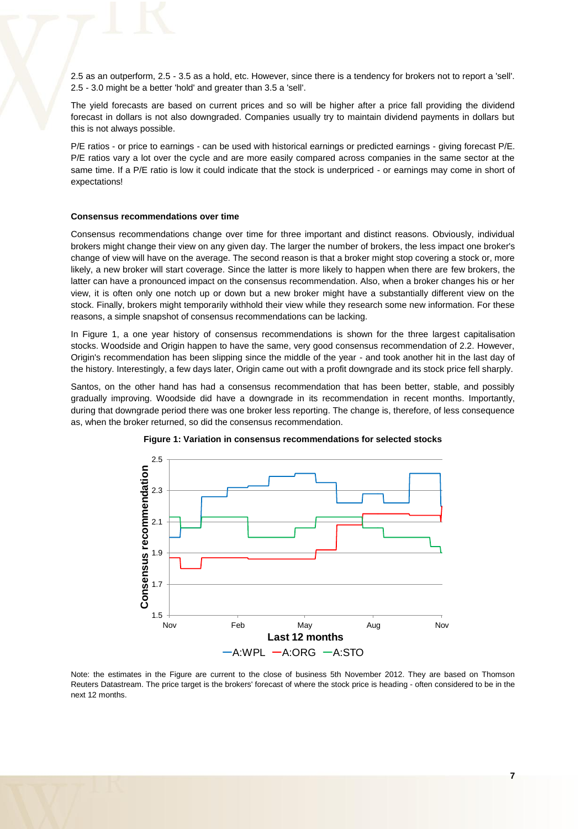2.5 as an outperform, 2.5 - 3.5 as a hold, etc. However, since there is a tendency for brokers not to report a 'sell'. 2.5 - 3.0 might be a better 'hold' and greater than 3.5 a 'sell'.

The yield forecasts are based on current prices and so will be higher after a price fall providing the dividend forecast in dollars is not also downgraded. Companies usually try to maintain dividend payments in dollars but this is not always possible.

P/E ratios - or price to earnings - can be used with historical earnings or predicted earnings - giving forecast P/E. P/E ratios vary a lot over the cycle and are more easily compared across companies in the same sector at the same time. If a P/E ratio is low it could indicate that the stock is underpriced - or earnings may come in short of expectations!

#### **Consensus recommendations over time**

Consensus recommendations change over time for three important and distinct reasons. Obviously, individual brokers might change their view on any given day. The larger the number of brokers, the less impact one broker's change of view will have on the average. The second reason is that a broker might stop covering a stock or, more likely, a new broker will start coverage. Since the latter is more likely to happen when there are few brokers, the latter can have a pronounced impact on the consensus recommendation. Also, when a broker changes his or her view, it is often only one notch up or down but a new broker might have a substantially different view on the stock. Finally, brokers might temporarily withhold their view while they research some new information. For these reasons, a simple snapshot of consensus recommendations can be lacking.

In Figure 1, a one year history of consensus recommendations is shown for the three largest capitalisation stocks. Woodside and Origin happen to have the same, very good consensus recommendation of 2.2. However, Origin's recommendation has been slipping since the middle of the year - and took another hit in the last day of the history. Interestingly, a few days later, Origin came out with a profit downgrade and its stock price fell sharply.

Santos, on the other hand has had a consensus recommendation that has been better, stable, and possibly gradually improving. Woodside did have a downgrade in its recommendation in recent months. Importantly, during that downgrade period there was one broker less reporting. The change is, therefore, of less consequence as, when the broker returned, so did the consensus recommendation.





Note: the estimates in the Figure are current to the close of business 5th November 2012. They are based on Thomson Reuters Datastream. The price target is the brokers' forecast of where the stock price is heading - often considered to be in the next 12 months.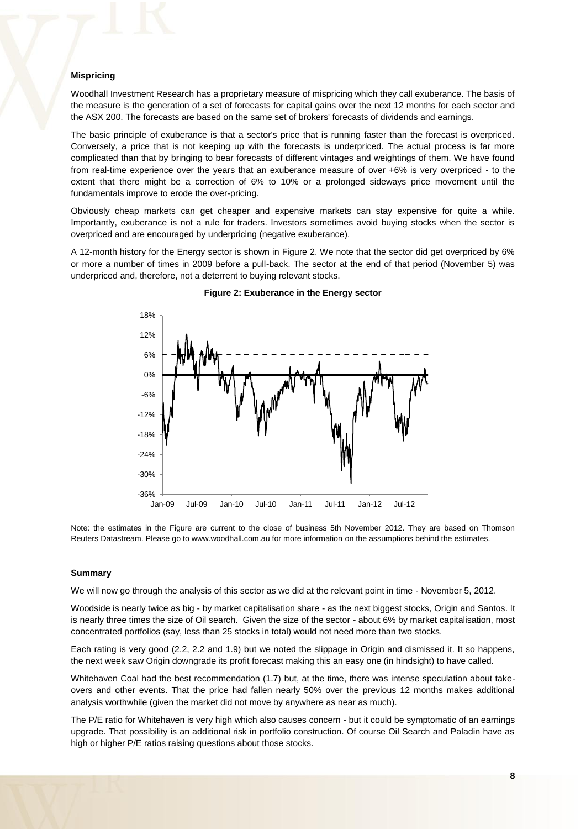#### **Mispricing**

Woodhall Investment Research has a proprietary measure of mispricing which they call exuberance. The basis of the measure is the generation of a set of forecasts for capital gains over the next 12 months for each sector and the ASX 200. The forecasts are based on the same set of brokers' forecasts of dividends and earnings.

The basic principle of exuberance is that a sector's price that is running faster than the forecast is overpriced. Conversely, a price that is not keeping up with the forecasts is underpriced. The actual process is far more complicated than that by bringing to bear forecasts of different vintages and weightings of them. We have found from real-time experience over the years that an exuberance measure of over +6% is very overpriced - to the extent that there might be a correction of 6% to 10% or a prolonged sideways price movement until the fundamentals improve to erode the over-pricing.

Obviously cheap markets can get cheaper and expensive markets can stay expensive for quite a while. Importantly, exuberance is not a rule for traders. Investors sometimes avoid buying stocks when the sector is overpriced and are encouraged by underpricing (negative exuberance).

A 12-month history for the Energy sector is shown in Figure 2. We note that the sector did get overpriced by 6% or more a number of times in 2009 before a pull-back. The sector at the end of that period (November 5) was underpriced and, therefore, not a deterrent to buying relevant stocks.



**Figure 2: Exuberance in the Energy sector** 

Note: the estimates in the Figure are current to the close of business 5th November 2012. They are based on Thomson Reuters Datastream. Please go to www.woodhall.com.au for more information on the assumptions behind the estimates.

#### **Summary**

We will now go through the analysis of this sector as we did at the relevant point in time - November 5, 2012.

Woodside is nearly twice as big - by market capitalisation share - as the next biggest stocks, Origin and Santos. It is nearly three times the size of Oil search. Given the size of the sector - about 6% by market capitalisation, most concentrated portfolios (say, less than 25 stocks in total) would not need more than two stocks.

Each rating is very good (2.2, 2.2 and 1.9) but we noted the slippage in Origin and dismissed it. It so happens, the next week saw Origin downgrade its profit forecast making this an easy one (in hindsight) to have called.

Whitehaven Coal had the best recommendation (1.7) but, at the time, there was intense speculation about takeovers and other events. That the price had fallen nearly 50% over the previous 12 months makes additional analysis worthwhile (given the market did not move by anywhere as near as much).

The P/E ratio for Whitehaven is very high which also causes concern - but it could be symptomatic of an earnings upgrade. That possibility is an additional risk in portfolio construction. Of course Oil Search and Paladin have as high or higher P/E ratios raising questions about those stocks.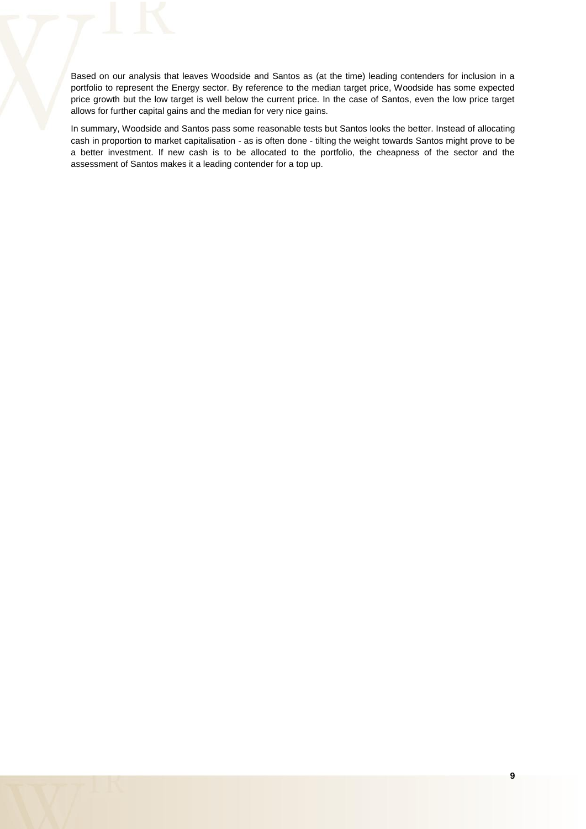Based on our analysis that leaves Woodside and Santos as (at the time) leading contenders for inclusion in a portfolio to represent the Energy sector. By reference to the median target price, Woodside has some expected price growth but the low target is well below the current price. In the case of Santos, even the low price target allows for further capital gains and the median for very nice gains.

In summary, Woodside and Santos pass some reasonable tests but Santos looks the better. Instead of allocating cash in proportion to market capitalisation - as is often done - tilting the weight towards Santos might prove to be a better investment. If new cash is to be allocated to the portfolio, the cheapness of the sector and the assessment of Santos makes it a leading contender for a top up.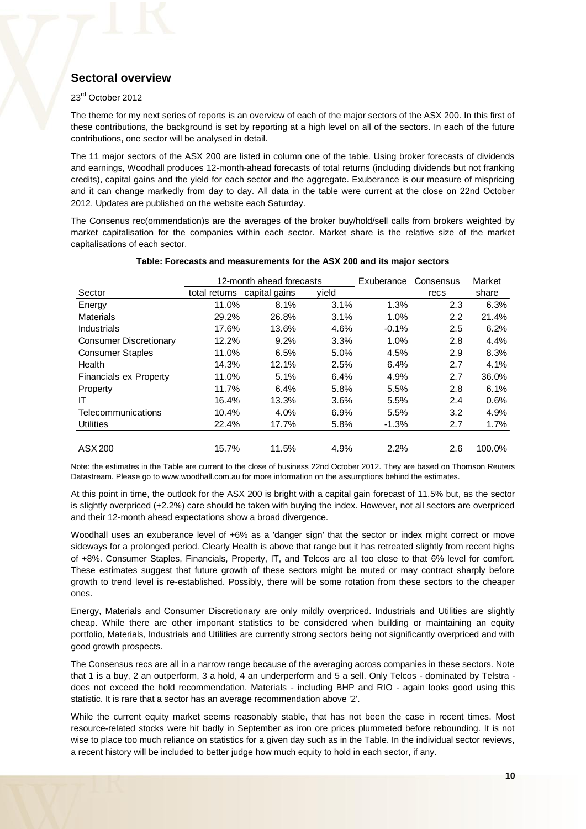## **Sectoral overview**

#### 23rd October 2012

The theme for my next series of reports is an overview of each of the major sectors of the ASX 200. In this first of these contributions, the background is set by reporting at a high level on all of the sectors. In each of the future contributions, one sector will be analysed in detail.

The 11 major sectors of the ASX 200 are listed in column one of the table. Using broker forecasts of dividends and earnings, Woodhall produces 12-month-ahead forecasts of total returns (including dividends but not franking credits), capital gains and the yield for each sector and the aggregate. Exuberance is our measure of mispricing and it can change markedly from day to day. All data in the table were current at the close on 22nd October 2012. Updates are published on the website each Saturday.

The Consenus rec(ommendation)s are the averages of the broker buy/hold/sell calls from brokers weighted by market capitalisation for the companies within each sector. Market share is the relative size of the market capitalisations of each sector.

|                               |               | 12-month ahead forecasts |       | Exuberance | Consensus | Market  |
|-------------------------------|---------------|--------------------------|-------|------------|-----------|---------|
| Sector                        | total returns | capital gains            | yield |            | recs      | share   |
| Energy                        | 11.0%         | 8.1%                     | 3.1%  | 1.3%       | 2.3       | 6.3%    |
| <b>Materials</b>              | 29.2%         | 26.8%                    | 3.1%  | 1.0%       | 2.2       | 21.4%   |
| <b>Industrials</b>            | 17.6%         | 13.6%                    | 4.6%  | $-0.1%$    | 2.5       | 6.2%    |
| <b>Consumer Discretionary</b> | 12.2%         | 9.2%                     | 3.3%  | 1.0%       | 2.8       | 4.4%    |
| <b>Consumer Staples</b>       | 11.0%         | 6.5%                     | 5.0%  | 4.5%       | 2.9       | 8.3%    |
| Health                        | 14.3%         | 12.1%                    | 2.5%  | 6.4%       | 2.7       | 4.1%    |
| Financials ex Property        | 11.0%         | 5.1%                     | 6.4%  | 4.9%       | 2.7       | 36.0%   |
| Property                      | 11.7%         | 6.4%                     | 5.8%  | 5.5%       | 2.8       | 6.1%    |
| IT                            | 16.4%         | 13.3%                    | 3.6%  | 5.5%       | 2.4       | 0.6%    |
| Telecommunications            | 10.4%         | 4.0%                     | 6.9%  | 5.5%       | 3.2       | 4.9%    |
| <b>Utilities</b>              | 22.4%         | 17.7%                    | 5.8%  | $-1.3%$    | 2.7       | $1.7\%$ |
|                               |               |                          |       |            |           |         |
| ASX 200                       | 15.7%         | 11.5%                    | 4.9%  | 2.2%       | 2.6       | 100.0%  |

#### **Table: Forecasts and measurements for the ASX 200 and its major sectors**

Note: the estimates in the Table are current to the close of business 22nd October 2012. They are based on Thomson Reuters Datastream. Please go to www.woodhall.com.au for more information on the assumptions behind the estimates.

At this point in time, the outlook for the ASX 200 is bright with a capital gain forecast of 11.5% but, as the sector is slightly overpriced (+2.2%) care should be taken with buying the index. However, not all sectors are overpriced and their 12-month ahead expectations show a broad divergence.

Woodhall uses an exuberance level of +6% as a 'danger sign' that the sector or index might correct or move sideways for a prolonged period. Clearly Health is above that range but it has retreated slightly from recent highs of +8%. Consumer Staples, Financials, Property, IT, and Telcos are all too close to that 6% level for comfort. These estimates suggest that future growth of these sectors might be muted or may contract sharply before growth to trend level is re-established. Possibly, there will be some rotation from these sectors to the cheaper ones.

Energy, Materials and Consumer Discretionary are only mildly overpriced. Industrials and Utilities are slightly cheap. While there are other important statistics to be considered when building or maintaining an equity portfolio, Materials, Industrials and Utilities are currently strong sectors being not significantly overpriced and with good growth prospects.

The Consensus recs are all in a narrow range because of the averaging across companies in these sectors. Note that 1 is a buy, 2 an outperform, 3 a hold, 4 an underperform and 5 a sell. Only Telcos - dominated by Telstra does not exceed the hold recommendation. Materials - including BHP and RIO - again looks good using this statistic. It is rare that a sector has an average recommendation above '2'.

While the current equity market seems reasonably stable, that has not been the case in recent times. Most resource-related stocks were hit badly in September as iron ore prices plummeted before rebounding. It is not wise to place too much reliance on statistics for a given day such as in the Table. In the individual sector reviews, a recent history will be included to better judge how much equity to hold in each sector, if any.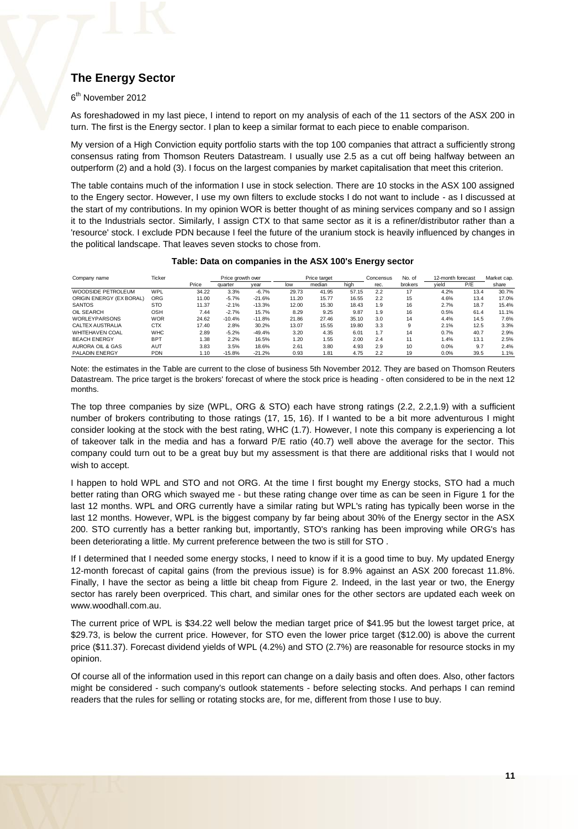## **The Energy Sector**

#### 6<sup>th</sup> November 2012

As foreshadowed in my last piece, I intend to report on my analysis of each of the 11 sectors of the ASX 200 in turn. The first is the Energy sector. I plan to keep a similar format to each piece to enable comparison.

My version of a High Conviction equity portfolio starts with the top 100 companies that attract a sufficiently strong consensus rating from Thomson Reuters Datastream. I usually use 2.5 as a cut off being halfway between an outperform (2) and a hold (3). I focus on the largest companies by market capitalisation that meet this criterion.

The table contains much of the information I use in stock selection. There are 10 stocks in the ASX 100 assigned to the Engery sector. However, I use my own filters to exclude stocks I do not want to include - as I discussed at the start of my contributions. In my opinion WOR is better thought of as mining services company and so I assign it to the Industrials sector. Similarly, I assign CTX to that same sector as it is a refiner/distributor rather than a 'resource' stock. I exclude PDN because I feel the future of the uranium stock is heavily influenced by changes in the political landscape. That leaves seven stocks to chose from.

#### **Table: Data on companies in the ASX 100's Energy sector**

| Company name             | Ticker     |       | Price growth over |          |       | Price target |       | Concensus | No. of  | 12-month forecast |      | Market cap. |  |
|--------------------------|------------|-------|-------------------|----------|-------|--------------|-------|-----------|---------|-------------------|------|-------------|--|
|                          |            | Price | quarter           | vear     | low   | median       | high  | rec.      | brokers | vield             | P/E  | share       |  |
| WOODSIDE PETROLEUM       | WPL        | 34.22 | 3.3%              | $-6.7%$  | 29.73 | 41.95        | 57.15 | 2.2       | 17      | 4.2%              | 13.4 | 30.7%       |  |
| ORIGIN ENERGY (EX BORAL) | ORG        | 11.00 | $-5.7%$           | $-21.6%$ | 11.20 | 15.77        | 16.55 | 2.2       | 15      | 4.6%              | 13.4 | 17.0%       |  |
| <b>SANTOS</b>            | <b>STO</b> | 11.37 | $-2.1%$           | $-13.3%$ | 12.00 | 15.30        | 18.43 | 1.9       | 16      | 2.7%              | 18.7 | 15.4%       |  |
| OIL SEARCH               | <b>OSH</b> | 7.44  | $-2.7%$           | 15.7%    | 8.29  | 9.25         | 9.87  | 1.9       | 16      | 0.5%              | 61.4 | 11.1%       |  |
| <b>WORLEYPARSONS</b>     | <b>WOR</b> | 24.62 | $-10.4%$          | $-11.8%$ | 21.86 | 27.46        | 35.10 | 3.0       | 14      | 4.4%              | 14.5 | 7.6%        |  |
| CALTEX AUSTRALIA         | <b>CTX</b> | 17.40 | 2.8%              | 30.2%    | 13.07 | 15.55        | 19.80 | 3.3       | 9       | 2.1%              | 12.5 | 3.3%        |  |
| <b>WHITEHAVEN COAL</b>   | <b>WHC</b> | 2.89  | $-5.2%$           | $-49.4%$ | 3.20  | 4.35         | 6.01  | 1.7       | 14      | 0.7%              | 40.7 | 2.9%        |  |
| <b>BEACH ENERGY</b>      | <b>BPT</b> | 1.38  | 2.2%              | 16.5%    | 1.20  | i.55         | 2.00  | 2.4       | 11      | 1.4%              | 13.1 | 2.5%        |  |
| AURORA OIL & GAS         | AUT        | 3.83  | 3.5%              | 18.6%    | 2.61  | 3.80         | 4.93  | 2.9       | 10      | 0.0%              | 9.7  | 2.4%        |  |
| <b>PALADIN ENERGY</b>    | <b>PDN</b> | 1.10  | $-15.8%$          | $-21.2%$ | 0.93  | 1.81         | 4.75  | 2.2       | 19      | 0.0%              | 39.5 | 1.1%        |  |

Note: the estimates in the Table are current to the close of business 5th November 2012. They are based on Thomson Reuters Datastream. The price target is the brokers' forecast of where the stock price is heading - often considered to be in the next 12 months.

The top three companies by size (WPL, ORG & STO) each have strong ratings (2.2, 2.2,1.9) with a sufficient number of brokers contributing to those ratings (17, 15, 16). If I wanted to be a bit more adventurous I might consider looking at the stock with the best rating, WHC (1.7). However, I note this company is experiencing a lot of takeover talk in the media and has a forward P/E ratio (40.7) well above the average for the sector. This company could turn out to be a great buy but my assessment is that there are additional risks that I would not wish to accept.

I happen to hold WPL and STO and not ORG. At the time I first bought my Energy stocks, STO had a much better rating than ORG which swayed me - but these rating change over time as can be seen in Figure 1 for the last 12 months. WPL and ORG currently have a similar rating but WPL's rating has typically been worse in the last 12 months. However, WPL is the biggest company by far being about 30% of the Energy sector in the ASX 200. STO currently has a better ranking but, importantly, STO's ranking has been improving while ORG's has been deteriorating a little. My current preference between the two is still for STO .

If I determined that I needed some energy stocks, I need to know if it is a good time to buy. My updated Energy 12-month forecast of capital gains (from the previous issue) is for 8.9% against an ASX 200 forecast 11.8%. Finally, I have the sector as being a little bit cheap from Figure 2. Indeed, in the last year or two, the Energy sector has rarely been overpriced. This chart, and similar ones for the other sectors are updated each week on www.woodhall.com.au.

The current price of WPL is \$34.22 well below the median target price of \$41.95 but the lowest target price, at \$29.73, is below the current price. However, for STO even the lower price target (\$12.00) is above the current price (\$11.37). Forecast dividend yields of WPL (4.2%) and STO (2.7%) are reasonable for resource stocks in my opinion.

Of course all of the information used in this report can change on a daily basis and often does. Also, other factors might be considered - such company's outlook statements - before selecting stocks. And perhaps I can remind readers that the rules for selling or rotating stocks are, for me, different from those I use to buy.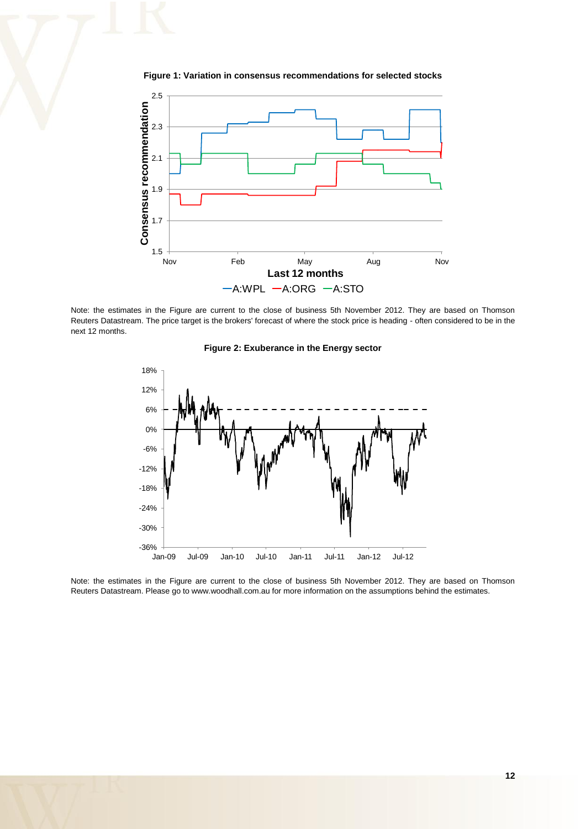

**Figure 1: Variation in consensus recommendations for selected stocks** 

Note: the estimates in the Figure are current to the close of business 5th November 2012. They are based on Thomson Reuters Datastream. The price target is the brokers' forecast of where the stock price is heading - often considered to be in the next 12 months.





Note: the estimates in the Figure are current to the close of business 5th November 2012. They are based on Thomson Reuters Datastream. Please go to www.woodhall.com.au for more information on the assumptions behind the estimates.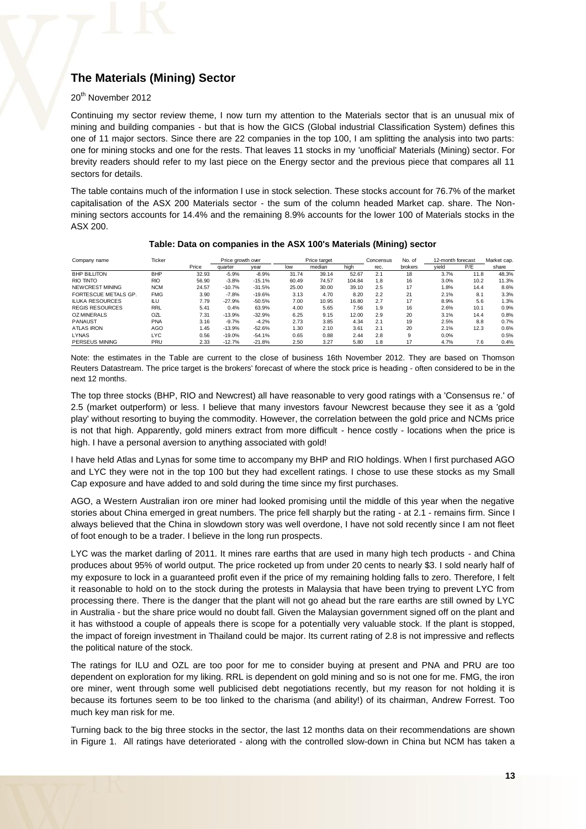## **The Materials (Mining) Sector**

#### 20<sup>th</sup> November 2012

Continuing my sector review theme, I now turn my attention to the Materials sector that is an unusual mix of mining and building companies - but that is how the GICS (Global industrial Classification System) defines this one of 11 major sectors. Since there are 22 companies in the top 100, I am splitting the analysis into two parts: one for mining stocks and one for the rests. That leaves 11 stocks in my 'unofficial' Materials (Mining) sector. For brevity readers should refer to my last piece on the Energy sector and the previous piece that compares all 11 sectors for details.

The table contains much of the information I use in stock selection. These stocks account for 76.7% of the market capitalisation of the ASX 200 Materials sector - the sum of the column headed Market cap. share. The Nonmining sectors accounts for 14.4% and the remaining 8.9% accounts for the lower 100 of Materials stocks in the ASX 200.

| Company name           | Ticker     |       | Price growth over |          |       | Price target |        | Concensus | No. of  | 12-month forecast |      | Market cap. |  |
|------------------------|------------|-------|-------------------|----------|-------|--------------|--------|-----------|---------|-------------------|------|-------------|--|
|                        |            | Price | quarter           | vear     | low   | median       | high   | rec.      | brokers | vield             | P/E  | share       |  |
| <b>BHP BILLITON</b>    | <b>BHP</b> | 32.93 | $-5.9%$           | $-8.9%$  | 31.74 | 39.14        | 52.67  | 2.1       | 18      | 3.7%              | 11.8 | 48.3%       |  |
| RIO TINTO              | <b>RIO</b> | 56.90 | $-3.8%$           | $-15.1%$ | 60.49 | 74.57        | 104.84 | 1.8       | 16      | 3.0%              | 10.2 | 11.3%       |  |
| NEWCREST MINING        | <b>NCM</b> | 24.57 | $-10.7%$          | $-31.5%$ | 25.00 | 30.00        | 39.10  | 2.5       | 17      | 1.8%              | 14.4 | 8.6%        |  |
| FORTESCUE METALS GP.   | <b>FMG</b> | 3.90  | $-7.8%$           | $-19.6%$ | 3.13  | 4.70         | 8.20   | 2.2       | 21      | 2.1%              | 8.1  | 3.3%        |  |
| <b>ILUKA RESOURCES</b> | ILU        | 7.79  | $-27.9%$          | $-50.5%$ | 7.00  | 10.95        | 16.80  | 2.7       | 17      | 8.9%              | 5.6  | 1.3%        |  |
| <b>REGIS RESOURCES</b> | <b>RRL</b> | 5.41  | 0.4%              | 63.9%    | 4.00  | 5.65         | 7.56   | 1.9       | 16      | 2.6%              | 10.1 | 0.9%        |  |
| <b>OZ MINERALS</b>     | <b>OZL</b> | 7.31  | $-13.9%$          | $-32.9%$ | 6.25  | 9.15         | 12.00  | 2.9       | 20      | 3.1%              | 14.4 | 0.8%        |  |
| PANAUST                | <b>PNA</b> | 3.16  | $-9.7%$           | $-4.2%$  | 2.73  | 3.85         | 4.34   | 2.1       | 19      | 2.5%              | 8.8  | 0.7%        |  |
| <b>ATLAS IRON</b>      | AGO        | 1.45  | $-13.9%$          | $-52.6%$ | 1.30  | 2.10         | 3.61   | 2.1       | 20      | 2.1%              | 12.3 | 0.6%        |  |
| <b>LYNAS</b>           | <b>LYC</b> | 0.56  | $-19.0%$          | $-54.1%$ | 0.65  | 0.88         | 2.44   | 2.8       | 9       | 0.0%              |      | 0.5%        |  |
| PERSEUS MINING         | PRU        | 2.33  | $-12.7%$          | $-21.8%$ | 2.50  | 3.27         | 5.80   | 1.8       | 17      | 4.7%              | 7.6  | 0.4%        |  |

#### **Table: Data on companies in the ASX 100's Materials (Mining) sector**

Note: the estimates in the Table are current to the close of business 16th November 2012. They are based on Thomson Reuters Datastream. The price target is the brokers' forecast of where the stock price is heading - often considered to be in the next 12 months.

The top three stocks (BHP, RIO and Newcrest) all have reasonable to very good ratings with a 'Consensus re.' of 2.5 (market outperform) or less. I believe that many investors favour Newcrest because they see it as a 'gold play' without resorting to buying the commodity. However, the correlation between the gold price and NCMs price is not that high. Apparently, gold miners extract from more difficult - hence costly - locations when the price is high. I have a personal aversion to anything associated with gold!

I have held Atlas and Lynas for some time to accompany my BHP and RIO holdings. When I first purchased AGO and LYC they were not in the top 100 but they had excellent ratings. I chose to use these stocks as my Small Cap exposure and have added to and sold during the time since my first purchases.

AGO, a Western Australian iron ore miner had looked promising until the middle of this year when the negative stories about China emerged in great numbers. The price fell sharply but the rating - at 2.1 - remains firm. Since I always believed that the China in slowdown story was well overdone, I have not sold recently since I am not fleet of foot enough to be a trader. I believe in the long run prospects.

LYC was the market darling of 2011. It mines rare earths that are used in many high tech products - and China produces about 95% of world output. The price rocketed up from under 20 cents to nearly \$3. I sold nearly half of my exposure to lock in a guaranteed profit even if the price of my remaining holding falls to zero. Therefore, I felt it reasonable to hold on to the stock during the protests in Malaysia that have been trying to prevent LYC from processing there. There is the danger that the plant will not go ahead but the rare earths are still owned by LYC in Australia - but the share price would no doubt fall. Given the Malaysian government signed off on the plant and it has withstood a couple of appeals there is scope for a potentially very valuable stock. If the plant is stopped, the impact of foreign investment in Thailand could be major. Its current rating of 2.8 is not impressive and reflects the political nature of the stock.

The ratings for ILU and OZL are too poor for me to consider buying at present and PNA and PRU are too dependent on exploration for my liking. RRL is dependent on gold mining and so is not one for me. FMG, the iron ore miner, went through some well publicised debt negotiations recently, but my reason for not holding it is because its fortunes seem to be too linked to the charisma (and ability!) of its chairman, Andrew Forrest. Too much key man risk for me.

Turning back to the big three stocks in the sector, the last 12 months data on their recommendations are shown in Figure 1. All ratings have deteriorated - along with the controlled slow-down in China but NCM has taken a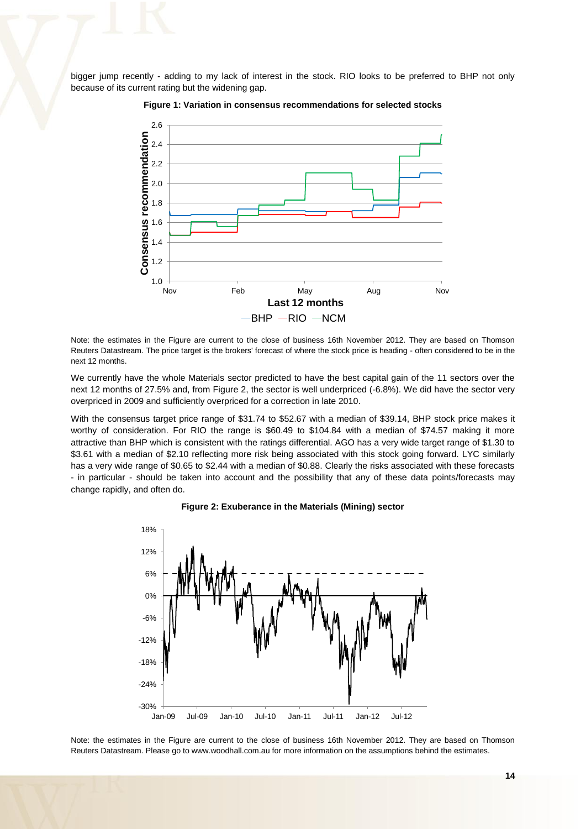bigger jump recently - adding to my lack of interest in the stock. RIO looks to be preferred to BHP not only because of its current rating but the widening gap.



**Figure 1: Variation in consensus recommendations for selected stocks** 

Note: the estimates in the Figure are current to the close of business 16th November 2012. They are based on Thomson Reuters Datastream. The price target is the brokers' forecast of where the stock price is heading - often considered to be in the next 12 months.

We currently have the whole Materials sector predicted to have the best capital gain of the 11 sectors over the next 12 months of 27.5% and, from Figure 2, the sector is well underpriced (-6.8%). We did have the sector very overpriced in 2009 and sufficiently overpriced for a correction in late 2010.

With the consensus target price range of \$31.74 to \$52.67 with a median of \$39.14, BHP stock price makes it worthy of consideration. For RIO the range is \$60.49 to \$104.84 with a median of \$74.57 making it more attractive than BHP which is consistent with the ratings differential. AGO has a very wide target range of \$1.30 to \$3.61 with a median of \$2.10 reflecting more risk being associated with this stock going forward. LYC similarly has a very wide range of \$0.65 to \$2.44 with a median of \$0.88. Clearly the risks associated with these forecasts - in particular - should be taken into account and the possibility that any of these data points/forecasts may change rapidly, and often do.



**Figure 2: Exuberance in the Materials (Mining) sector** 

Note: the estimates in the Figure are current to the close of business 16th November 2012. They are based on Thomson Reuters Datastream. Please go to www.woodhall.com.au for more information on the assumptions behind the estimates.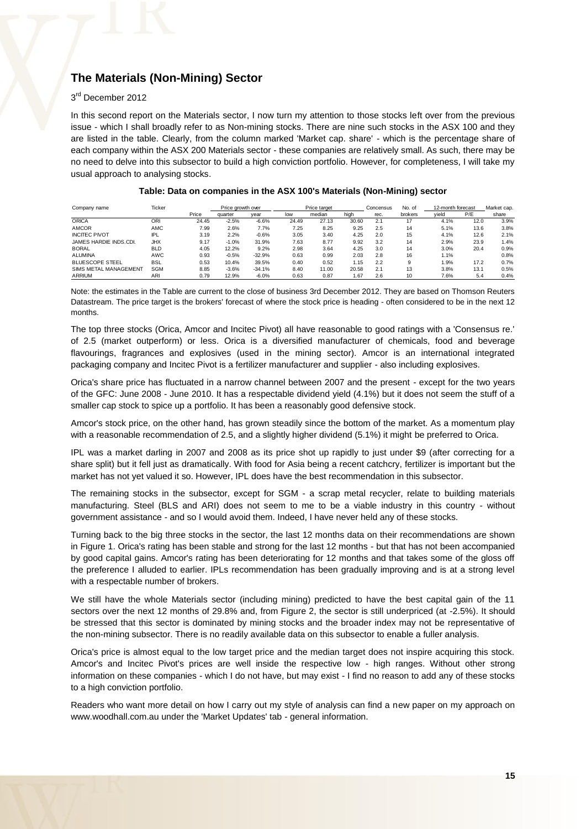## **The Materials (Non-Mining) Sector**

#### 3<sup>rd</sup> December 2012

In this second report on the Materials sector, I now turn my attention to those stocks left over from the previous issue - which I shall broadly refer to as Non-mining stocks. There are nine such stocks in the ASX 100 and they are listed in the table. Clearly, from the column marked 'Market cap. share' - which is the percentage share of each company within the ASX 200 Materials sector - these companies are relatively small. As such, there may be no need to delve into this subsector to build a high conviction portfolio. However, for completeness, I will take my usual approach to analysing stocks.

| Company name           | Ticker     |       | Price growth over |          | Price target |        |       | Concensus | No. of  |       | 12-month forecast |       |
|------------------------|------------|-------|-------------------|----------|--------------|--------|-------|-----------|---------|-------|-------------------|-------|
|                        |            | Price | quarter           | vear     | low          | median | high  | rec.      | brokers | yield | P/E               | share |
| <b>ORICA</b>           | <b>ORI</b> | 24.45 | $-2.5%$           | $-6.6%$  | 24.49        | 27.13  | 30.60 | 2.1       | 17      | 4.1%  | 12.0              | 3.9%  |
| <b>AMCOR</b>           | AMC        | 7.99  | 2.6%              | 7.7%     | 7.25         | 8.25   | 9.25  | 2.5       | 14      | 5.1%  | 13.6              | 3.8%  |
| <b>INCITEC PIVOT</b>   | IPL.       | 3.19  | 2.2%              | $-0.6%$  | 3.05         | 3.40   | 4.25  | 2.0       | 15      | 4.1%  | 12.6              | 2.1%  |
| JAMES HARDIE INDS.CDI. | <b>JHX</b> | 9.17  | $-1.0%$           | 31.9%    | 7.63         | 8.77   | 9.92  | 3.2       | 14      | 2.9%  | 23.9              | 1.4%  |
| <b>BORAL</b>           | <b>BLD</b> | 4.05  | 12.2%             | 9.2%     | 2.98         | 3.64   | 4.25  | 3.0       | 14      | 3.0%  | 20.4              | 0.9%  |
| <b>ALUMINA</b>         | <b>AWC</b> | 0.93  | $-0.5%$           | $-32.9%$ | 0.63         | 0.99   | 2.03  | 2.8       | 16      | 1.1%  |                   | 0.8%  |
| <b>BLUESCOPE STEEL</b> | <b>BSL</b> | 0.53  | 10.4%             | 39.5%    | 0.40         | 0.52   | 1.15  | 2.2       | 9       | 1.9%  | 17.2              | 0.7%  |
| SIMS METAL MANAGEMENT  | <b>SGM</b> | 8.85  | $-3.6%$           | $-34.1%$ | 8.40         | 11.00  | 20.58 | 2.1       | 13      | 3.8%  | 13.1              | 0.5%  |
| ARRIUM                 | ARI        | 0.79  | 12.9%             | $-6.0%$  | 0.63         | 0.87   | .67   | 2.6       | 10      | 7.6%  | 5.4               | 0.4%  |

Note: the estimates in the Table are current to the close of business 3rd December 2012. They are based on Thomson Reuters Datastream. The price target is the brokers' forecast of where the stock price is heading - often considered to be in the next 12 months.

The top three stocks (Orica, Amcor and Incitec Pivot) all have reasonable to good ratings with a 'Consensus re.' of 2.5 (market outperform) or less. Orica is a diversified manufacturer of chemicals, food and beverage flavourings, fragrances and explosives (used in the mining sector). Amcor is an international integrated packaging company and Incitec Pivot is a fertilizer manufacturer and supplier - also including explosives.

Orica's share price has fluctuated in a narrow channel between 2007 and the present - except for the two years of the GFC: June 2008 - June 2010. It has a respectable dividend yield (4.1%) but it does not seem the stuff of a smaller cap stock to spice up a portfolio. It has been a reasonably good defensive stock.

Amcor's stock price, on the other hand, has grown steadily since the bottom of the market. As a momentum play with a reasonable recommendation of 2.5, and a slightly higher dividend (5.1%) it might be preferred to Orica.

IPL was a market darling in 2007 and 2008 as its price shot up rapidly to just under \$9 (after correcting for a share split) but it fell just as dramatically. With food for Asia being a recent catchcry, fertilizer is important but the market has not yet valued it so. However, IPL does have the best recommendation in this subsector.

The remaining stocks in the subsector, except for SGM - a scrap metal recycler, relate to building materials manufacturing. Steel (BLS and ARI) does not seem to me to be a viable industry in this country - without government assistance - and so I would avoid them. Indeed, I have never held any of these stocks.

Turning back to the big three stocks in the sector, the last 12 months data on their recommendations are shown in Figure 1. Orica's rating has been stable and strong for the last 12 months - but that has not been accompanied by good capital gains. Amcor's rating has been deteriorating for 12 months and that takes some of the gloss off the preference I alluded to earlier. IPLs recommendation has been gradually improving and is at a strong level with a respectable number of brokers.

We still have the whole Materials sector (including mining) predicted to have the best capital gain of the 11 sectors over the next 12 months of 29.8% and, from Figure 2, the sector is still underpriced (at -2.5%). It should be stressed that this sector is dominated by mining stocks and the broader index may not be representative of the non-mining subsector. There is no readily available data on this subsector to enable a fuller analysis.

Orica's price is almost equal to the low target price and the median target does not inspire acquiring this stock. Amcor's and Incitec Pivot's prices are well inside the respective low - high ranges. Without other strong information on these companies - which I do not have, but may exist - I find no reason to add any of these stocks to a high conviction portfolio.

Readers who want more detail on how I carry out my style of analysis can find a new paper on my approach on www.woodhall.com.au under the 'Market Updates' tab - general information.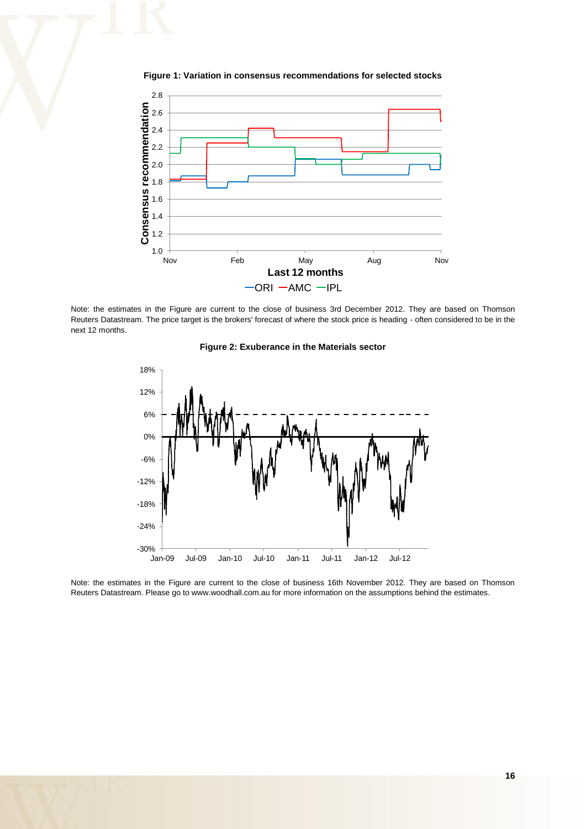

**Figure 1: Variation in consensus recommendations for selected stocks** 

Note: the estimates in the Figure are current to the close of business 3rd December 2012. They are based on Thomson Reuters Datastream. The price target is the brokers' forecast of where the stock price is heading - often considered to be in the next 12 months.





Note: the estimates in the Figure are current to the close of business 16th November 2012. They are based on Thomson Reuters Datastream. Please go to www.woodhall.com.au for more information on the assumptions behind the estimates.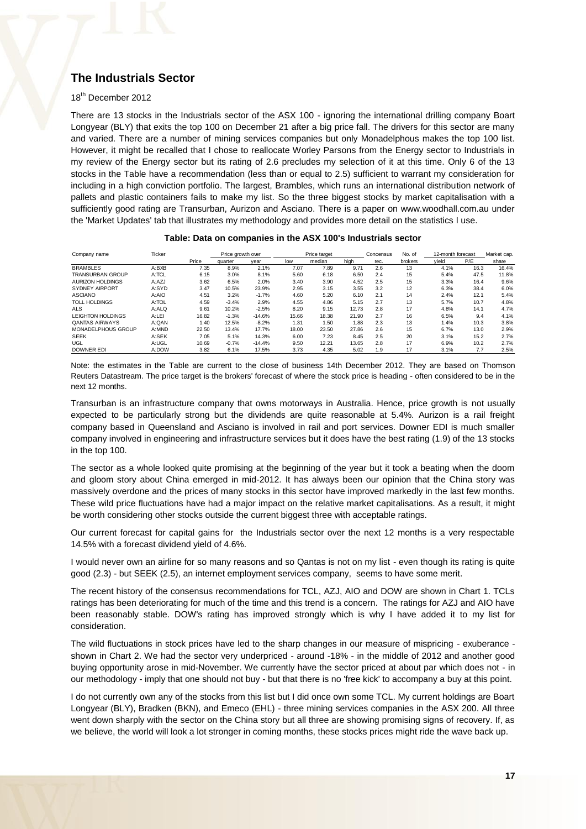## **The Industrials Sector**

#### 18<sup>th</sup> December 2012

There are 13 stocks in the Industrials sector of the ASX 100 - ignoring the international drilling company Boart Longyear (BLY) that exits the top 100 on December 21 after a big price fall. The drivers for this sector are many and varied. There are a number of mining services companies but only Monadelphous makes the top 100 list. However, it might be recalled that I chose to reallocate Worley Parsons from the Energy sector to Industrials in my review of the Energy sector but its rating of 2.6 precludes my selection of it at this time. Only 6 of the 13 stocks in the Table have a recommendation (less than or equal to 2.5) sufficient to warrant my consideration for including in a high conviction portfolio. The largest, Brambles, which runs an international distribution network of pallets and plastic containers fails to make my list. So the three biggest stocks by market capitalisation with a sufficiently good rating are Transurban, Aurizon and Asciano. There is a paper on www.woodhall.com.au under the 'Market Updates' tab that illustrates my methodology and provides more detail on the statistics I use.

#### **Table: Data on companies in the ASX 100's Industrials sector**

| Company name             | Ticker |       | Price growth over |          |       | Price target |       | Concensus | No. of  | 12-month forecast |      | Market cap. |
|--------------------------|--------|-------|-------------------|----------|-------|--------------|-------|-----------|---------|-------------------|------|-------------|
|                          |        | Price | quarter           | year     | low   | median       | high  | rec.      | brokers | vield             | P/E  | share       |
| <b>BRAMBLES</b>          | A:BXB  | 7.35  | 8.9%              | 2.1%     | 7.07  | 7.89         | 9.71  | 2.6       | 13      | 4.1%              | 16.3 | 16.4%       |
| <b>TRANSURBAN GROUP</b>  | A:TCL  | 6.15  | 3.0%              | 8.1%     | 5.60  | 6.18         | 6.50  | 2.4       | 15      | 5.4%              | 47.5 | 11.8%       |
| AURIZON HOLDINGS         | A:AZJ  | 3.62  | 6.5%              | 2.0%     | 3.40  | 3.90         | 4.52  | 2.5       | 15      | 3.3%              | 16.4 | 9.6%        |
| SYDNEY AIRPORT           | A:SYD  | 3.47  | 10.5%             | 23.9%    | 2.95  | 3.15         | 3.55  | 3.2       | 12      | 6.3%              | 38.4 | 6.0%        |
| <b>ASCIANO</b>           | A:AIO  | 4.51  | 3.2%              | $-1.7%$  | 4.60  | 5.20         | 6.10  | 2.1       | 14      | 2.4%              | 12.1 | 5.4%        |
| <b>TOLL HOLDINGS</b>     | A:TOL  | 4.59  | $-3.4%$           | 2.9%     | 4.55  | 4.86         | 5.15  | 2.7       | 13      | 5.7%              | 10.7 | 4.8%        |
| <b>ALS</b>               | A:ALQ  | 9.61  | 10.2%             | $-2.5%$  | 8.20  | 9.15         | 12.73 | 2.8       | 17      | 4.8%              | 14.1 | 4.7%        |
| <b>LEIGHTON HOLDINGS</b> | A:LEI  | 16.82 | $-1.3%$           | $-14.6%$ | 15.66 | 18.38        | 21.90 | 2.7       | 16      | 6.5%              | 9.4  | 4.1%        |
| <b>QANTAS AIRWAYS</b>    | A:QAN  | 1.40  | 12.5%             | $-8.2%$  | 1.31  | 1.50         | 1.88  | 2.3       | 13      | 1.4%              | 10.3 | 3.8%        |
| MONADELPHOUS GROUP       | A:MND  | 22.50 | 13.4%             | 17.7%    | 18.00 | 23.50        | 27.86 | 2.6       | 15      | 6.7%              | 13.0 | 2.9%        |
| <b>SEEK</b>              | A:SEK  | 7.05  | 5.1%              | 14.3%    | 6.00  | 7.23         | 8.45  | 2.5       | 20      | 3.1%              | 15.2 | 2.7%        |
| <b>UGL</b>               | A:UGL  | 10.69 | $-0.7%$           | $-14.4%$ | 9.50  | 12.21        | 13.65 | 2.8       | 17      | 6.9%              | 10.2 | 2.7%        |
| <b>DOWNER EDI</b>        | A:DOW  | 3.82  | 6.1%              | 17.5%    | 3.73  | 4.35         | 5.02  | 1.9       | 17      | 3.1%              | 7.7  | 2.5%        |

Note: the estimates in the Table are current to the close of business 14th December 2012. They are based on Thomson Reuters Datastream. The price target is the brokers' forecast of where the stock price is heading - often considered to be in the next 12 months.

Transurban is an infrastructure company that owns motorways in Australia. Hence, price growth is not usually expected to be particularly strong but the dividends are quite reasonable at 5.4%. Aurizon is a rail freight company based in Queensland and Asciano is involved in rail and port services. Downer EDI is much smaller company involved in engineering and infrastructure services but it does have the best rating (1.9) of the 13 stocks in the top 100.

The sector as a whole looked quite promising at the beginning of the year but it took a beating when the doom and gloom story about China emerged in mid-2012. It has always been our opinion that the China story was massively overdone and the prices of many stocks in this sector have improved markedly in the last few months. These wild price fluctuations have had a major impact on the relative market capitalisations. As a result. it might be worth considering other stocks outside the current biggest three with acceptable ratings.

Our current forecast for capital gains for the Industrials sector over the next 12 months is a very respectable 14.5% with a forecast dividend yield of 4.6%.

I would never own an airline for so many reasons and so Qantas is not on my list - even though its rating is quite good (2.3) - but SEEK (2.5), an internet employment services company, seems to have some merit.

The recent history of the consensus recommendations for TCL, AZJ, AIO and DOW are shown in Chart 1. TCLs ratings has been deteriorating for much of the time and this trend is a concern. The ratings for AZJ and AIO have been reasonably stable. DOW's rating has improved strongly which is why I have added it to my list for consideration.

The wild fluctuations in stock prices have led to the sharp changes in our measure of mispricing - exuberance shown in Chart 2. We had the sector very underpriced - around -18% - in the middle of 2012 and another good buying opportunity arose in mid-November. We currently have the sector priced at about par which does not - in our methodology - imply that one should not buy - but that there is no 'free kick' to accompany a buy at this point.

I do not currently own any of the stocks from this list but I did once own some TCL. My current holdings are Boart Longyear (BLY), Bradken (BKN), and Emeco (EHL) - three mining services companies in the ASX 200. All three went down sharply with the sector on the China story but all three are showing promising signs of recovery. If, as we believe, the world will look a lot stronger in coming months, these stocks prices might ride the wave back up.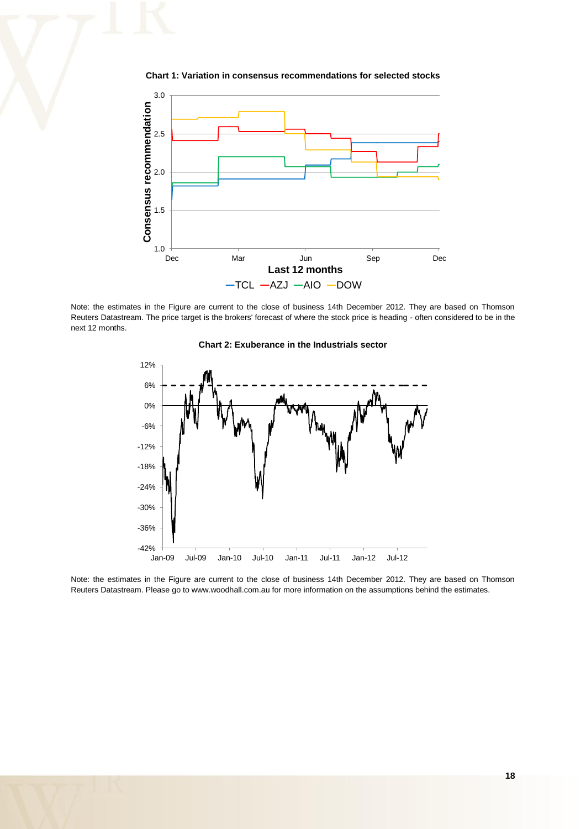

**Chart 1: Variation in consensus recommendations for selected stocks** 

Note: the estimates in the Figure are current to the close of business 14th December 2012. They are based on Thomson Reuters Datastream. The price target is the brokers' forecast of where the stock price is heading - often considered to be in the next 12 months.





Note: the estimates in the Figure are current to the close of business 14th December 2012. They are based on Thomson Reuters Datastream. Please go to www.woodhall.com.au for more information on the assumptions behind the estimates.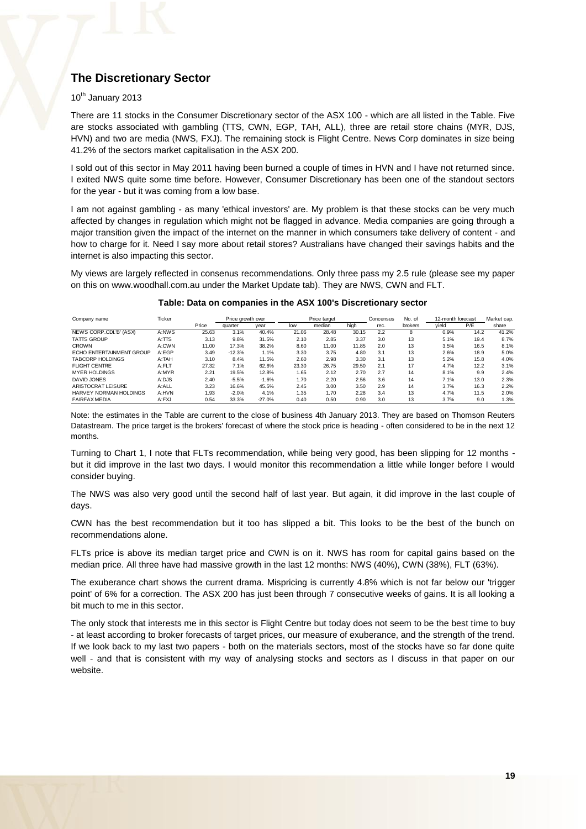## **The Discretionary Sector**

#### $10^{th}$  January 2013

There are 11 stocks in the Consumer Discretionary sector of the ASX 100 - which are all listed in the Table. Five are stocks associated with gambling (TTS, CWN, EGP, TAH, ALL), three are retail store chains (MYR, DJS, HVN) and two are media (NWS, FXJ). The remaining stock is Flight Centre. News Corp dominates in size being 41.2% of the sectors market capitalisation in the ASX 200.

I sold out of this sector in May 2011 having been burned a couple of times in HVN and I have not returned since. I exited NWS quite some time before. However, Consumer Discretionary has been one of the standout sectors for the year - but it was coming from a low base.

I am not against gambling - as many 'ethical investors' are. My problem is that these stocks can be very much affected by changes in regulation which might not be flagged in advance. Media companies are going through a major transition given the impact of the internet on the manner in which consumers take delivery of content - and how to charge for it. Need I say more about retail stores? Australians have changed their savings habits and the internet is also impacting this sector.

My views are largely reflected in consenus recommendations. Only three pass my 2.5 rule (please see my paper on this on www.woodhall.com.au under the Market Update tab). They are NWS, CWN and FLT.

#### Company name **Ticker** Ticker Price growth over Price target Concensus No. of 12-month forecast Market cap. Price quarter year low median high rec. brokers yield P/E share NEWS CORP.CDI.'B' (ASX) A:NWS 25.63 3.1% 40.4% 21.06 28.48 30.15 2.2 8 0.9% 14.2 41.2% TATTS GROUP A:TTS 3.13 9.8% 31.5% 2.10 2.85 3.37 3.0 13 5.1% 19.4 8.7% CROWN A:CWN 11.00 17.3% 38.2% 8.60 11.00 11.85 2.0 13 3.5% 16.5 8.1% ECHO ENTERTAINMENT GROUP A:EGP 3.49 -12.3% 1.1% 3.30 3.75 4.80 3.1 13 2.6% 18.9 5.0%<br>TABCORP HOLDINGS A:TAH 3.10 8.4% 11.5% 2.60 2.98 3.30 3.75 4.80 3.1 13 2.6% 15.8 5.0%<br>FLIGHT CENTRE A:T-LT 27.32 7.1% 62.6% 23.30 26.75 2 TABCORP HOLDINGS A:TAH 3.10 8.4% 11.5% 2.60 2.98 3.30 3.1 13 5.2% 15.8 4.0% FLIGHT CENTRE A:FLT 27.32 7.1% 62.6% 23.30 26.75 29.50 2.1 17 4.7% 12.2 3.1% MYER HOLDINGS A:MYR 2.21 19.5% 12.8% 1.65 2.12 2.70 2.7 14 8.1% 9.9 2.4% DAVID JONES A:DJS 2.40 -5.5% -1.6% 1.70 2.20 2.56 3.6 14 7.1% 13.0 2.3% .<br>1999 ARISTOCRAT LEISURE A:ALL 3.23 16.6% 45.5% 2.45 3.00 3.50 2.9 14 3.7% 16.3 2.2%<br>1999 ARRYEY NORMAN HOLDINGS A:HVN 1.93 -2.0% 4.1% 1.35 1.70 2.28 3.4 13 4.7% 11.5 2.0% .<br>1.93 HARVEY NORMAN HOLDINGS A:HVN 1.93 -2.0% 4.1% 1.35 1.70 2.28 3.4 13 4.7% 11.5<br>1.90 HARFAX MEDIA A:FXJ 0.54 33.3% -27.0% 0.40 0.50 0.90 3.0 13 3.7% 9.0 FAIRFAX MEDIA A:FXJ 0.54 33.3% -27.0% 0.40 0.50 0.90 3.0 13 3.7% 9.0 1.3% Price growth over **Price target** Concensus No. of 12-month forecast

#### **Table: Data on companies in the ASX 100's Discretionary sector**

Note: the estimates in the Table are current to the close of business 4th January 2013. They are based on Thomson Reuters Datastream. The price target is the brokers' forecast of where the stock price is heading - often considered to be in the next 12 months

Turning to Chart 1, I note that FLTs recommendation, while being very good, has been slipping for 12 months but it did improve in the last two days. I would monitor this recommendation a little while longer before I would consider buying.

The NWS was also very good until the second half of last year. But again, it did improve in the last couple of days.

CWN has the best recommendation but it too has slipped a bit. This looks to be the best of the bunch on recommendations alone.

FLTs price is above its median target price and CWN is on it. NWS has room for capital gains based on the median price. All three have had massive growth in the last 12 months: NWS (40%), CWN (38%), FLT (63%).

The exuberance chart shows the current drama. Mispricing is currently 4.8% which is not far below our 'trigger point' of 6% for a correction. The ASX 200 has just been through 7 consecutive weeks of gains. It is all looking a bit much to me in this sector.

The only stock that interests me in this sector is Flight Centre but today does not seem to be the best time to buy - at least according to broker forecasts of target prices, our measure of exuberance, and the strength of the trend. If we look back to my last two papers - both on the materials sectors, most of the stocks have so far done quite well - and that is consistent with my way of analysing stocks and sectors as I discuss in that paper on our website.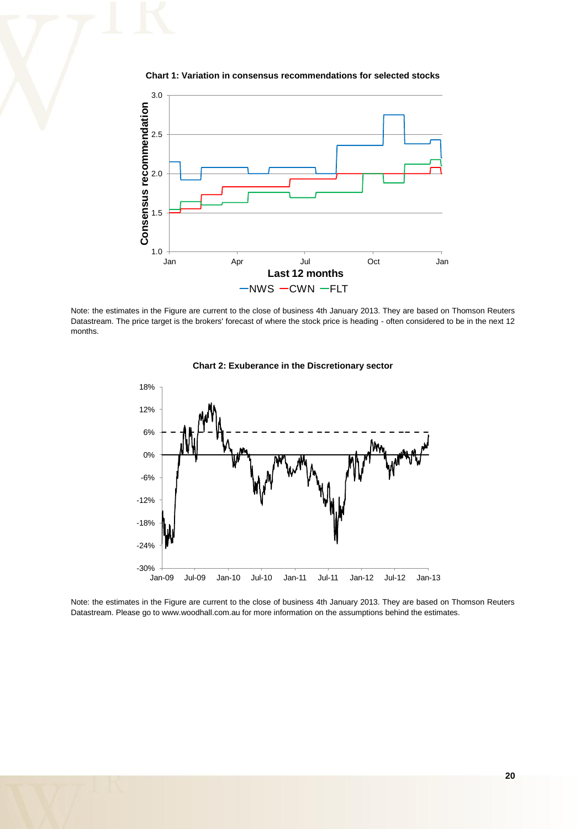



Note: the estimates in the Figure are current to the close of business 4th January 2013. They are based on Thomson Reuters Datastream. The price target is the brokers' forecast of where the stock price is heading - often considered to be in the next 12 months.





Note: the estimates in the Figure are current to the close of business 4th January 2013. They are based on Thomson Reuters Datastream. Please go to www.woodhall.com.au for more information on the assumptions behind the estimates.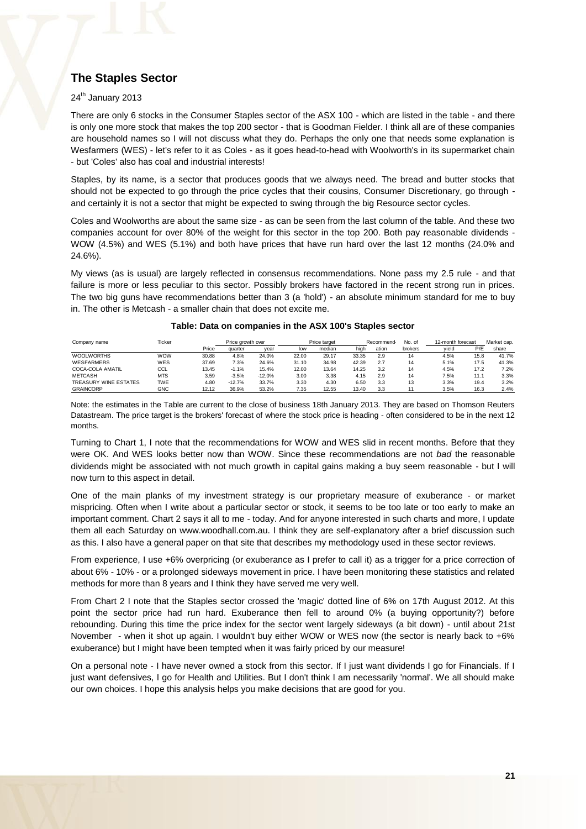## **The Staples Sector**

#### $24<sup>th</sup>$  January 2013

There are only 6 stocks in the Consumer Staples sector of the ASX 100 - which are listed in the table - and there is only one more stock that makes the top 200 sector - that is Goodman Fielder. I think all are of these companies are household names so I will not discuss what they do. Perhaps the only one that needs some explanation is Wesfarmers (WES) - let's refer to it as Coles - as it goes head-to-head with Woolworth's in its supermarket chain - but 'Coles' also has coal and industrial interests!

Staples, by its name, is a sector that produces goods that we always need. The bread and butter stocks that should not be expected to go through the price cycles that their cousins, Consumer Discretionary, go through and certainly it is not a sector that might be expected to swing through the big Resource sector cycles.

Coles and Woolworths are about the same size - as can be seen from the last column of the table. And these two companies account for over 80% of the weight for this sector in the top 200. Both pay reasonable dividends - WOW (4.5%) and WES (5.1%) and both have prices that have run hard over the last 12 months (24.0% and 24.6%).

My views (as is usual) are largely reflected in consensus recommendations. None pass my 2.5 rule - and that failure is more or less peculiar to this sector. Possibly brokers have factored in the recent strong run in prices. The two big guns have recommendations better than 3 (a 'hold') - an absolute minimum standard for me to buy in. The other is Metcash - a smaller chain that does not excite me.

| Company name          | Ticker     |       | Price growth over |          | Price target |        |       | Recommend | No. of  | 12-month forecast |      | Market cap. |  |
|-----------------------|------------|-------|-------------------|----------|--------------|--------|-------|-----------|---------|-------------------|------|-------------|--|
|                       |            | Price | quarter           | vear     | low          | median | high  | ation     | brokers | vield             | P/E  | share       |  |
| <b>WOOLWORTHS</b>     | <b>WOW</b> | 30.88 | 4.8%              | 24.0%    | 22.00        | 29.17  | 33.35 | 2.9       | 14      | 4.5%              | 15.8 | 41.7%       |  |
| <b>WESFARMERS</b>     | WES        | 37.69 | 7.3%              | 24.6%    | 31.10        | 34.98  | 42.39 | 2.7       | 14      | 5.1%              | 17.5 | 41.3%       |  |
| COCA-COLA AMATIL      | CCL        | 13.45 | $-1.1%$           | 15.4%    | 12.00        | 13.64  | 14.25 | 3.2       | 14      | 4.5%              | 17.2 | 7.2%        |  |
| <b>METCASH</b>        | <b>MTS</b> | 3.59  | $-3.5%$           | $-12.0%$ | 3.00         | 3.38   | 4.15  | 2.9       | 14      | 7.5%              | 11.1 | 3.3%        |  |
| TREASURY WINE ESTATES | <b>TWE</b> | 4.80  | $-12.7%$          | 33.7%    | 3.30         | 4.30   | 6.50  | 3.3       | 13      | 3.3%              | 19.4 | 3.2%        |  |
| <b>GRAINCORP</b>      | <b>GNC</b> | 12.12 | 36.9%             | 53.2%    | 7.35         | 12.55  | 13.40 | 3.3       |         | 3.5%              | 16.3 | 2.4%        |  |

#### **Table: Data on companies in the ASX 100's Staples sector**

Note: the estimates in the Table are current to the close of business 18th January 2013. They are based on Thomson Reuters Datastream. The price target is the brokers' forecast of where the stock price is heading - often considered to be in the next 12 months.

Turning to Chart 1, I note that the recommendations for WOW and WES slid in recent months. Before that they were OK. And WES looks better now than WOW. Since these recommendations are not *bad* the reasonable dividends might be associated with not much growth in capital gains making a buy seem reasonable - but I will now turn to this aspect in detail.

One of the main planks of my investment strategy is our proprietary measure of exuberance - or market mispricing. Often when I write about a particular sector or stock, it seems to be too late or too early to make an important comment. Chart 2 says it all to me - today. And for anyone interested in such charts and more, I update them all each Saturday on www.woodhall.com.au. I think they are self-explanatory after a brief discussion such as this. I also have a general paper on that site that describes my methodology used in these sector reviews.

From experience, I use +6% overpricing (or exuberance as I prefer to call it) as a trigger for a price correction of about 6% - 10% - or a prolonged sideways movement in price. I have been monitoring these statistics and related methods for more than 8 years and I think they have served me very well.

From Chart 2 I note that the Staples sector crossed the 'magic' dotted line of 6% on 17th August 2012. At this point the sector price had run hard. Exuberance then fell to around 0% (a buying opportunity?) before rebounding. During this time the price index for the sector went largely sideways (a bit down) - until about 21st November - when it shot up again. I wouldn't buy either WOW or WES now (the sector is nearly back to +6% exuberance) but I might have been tempted when it was fairly priced by our measure!

On a personal note - I have never owned a stock from this sector. If I just want dividends I go for Financials. If I just want defensives, I go for Health and Utilities. But I don't think I am necessarily 'normal'. We all should make our own choices. I hope this analysis helps you make decisions that are good for you.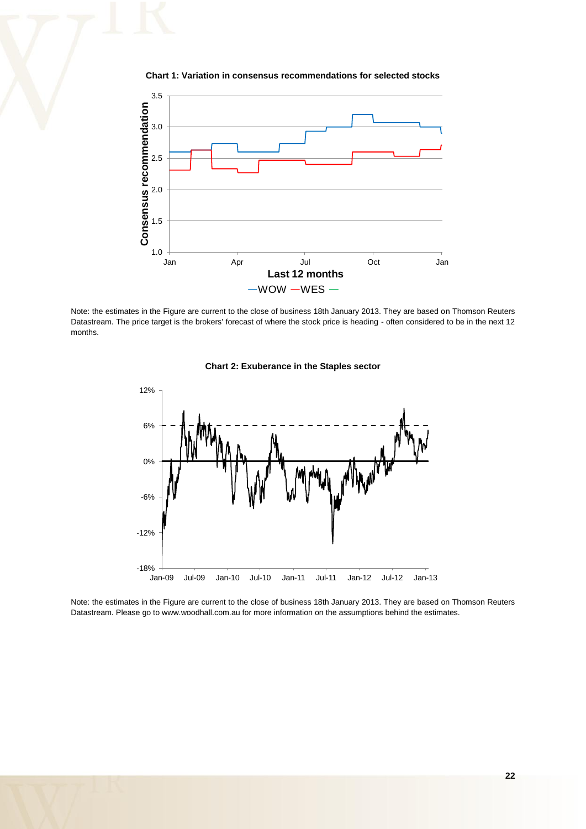



Note: the estimates in the Figure are current to the close of business 18th January 2013. They are based on Thomson Reuters Datastream. The price target is the brokers' forecast of where the stock price is heading - often considered to be in the next 12 months.





Note: the estimates in the Figure are current to the close of business 18th January 2013. They are based on Thomson Reuters Datastream. Please go to www.woodhall.com.au for more information on the assumptions behind the estimates.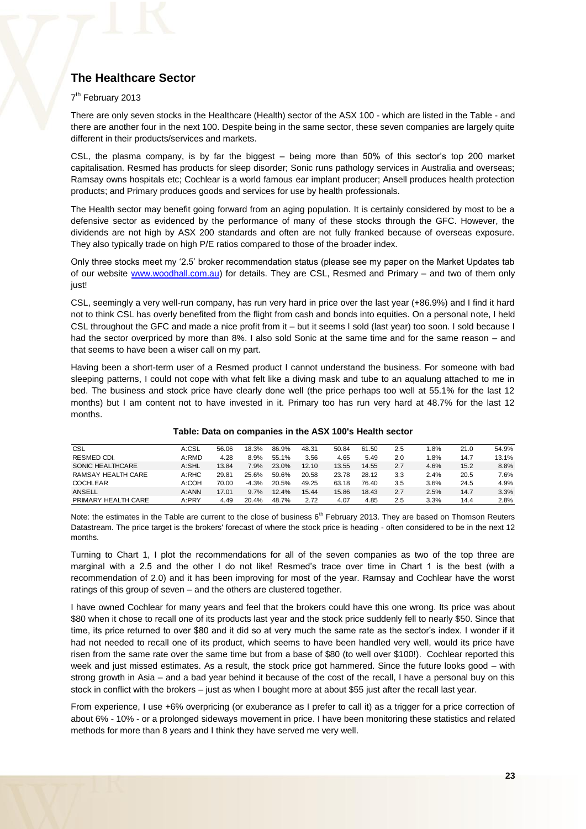## **The Healthcare Sector**

#### 7<sup>th</sup> February 2013

There are only seven stocks in the Healthcare (Health) sector of the ASX 100 - which are listed in the Table - and there are another four in the next 100. Despite being in the same sector, these seven companies are largely quite different in their products/services and markets.

CSL, the plasma company, is by far the biggest – being more than 50% of this sector's top 200 market capitalisation. Resmed has products for sleep disorder; Sonic runs pathology services in Australia and overseas; Ramsay owns hospitals etc; Cochlear is a world famous ear implant producer; Ansell produces health protection products; and Primary produces goods and services for use by health professionals.

The Health sector may benefit going forward from an aging population. It is certainly considered by most to be a defensive sector as evidenced by the performance of many of these stocks through the GFC. However, the dividends are not high by ASX 200 standards and often are not fully franked because of overseas exposure. They also typically trade on high P/E ratios compared to those of the broader index.

Only three stocks meet my '2.5' broker recommendation status (please see my paper on the Market Updates tab of our website [www.woodhall.com.au\)](http://www.woodhall.com.au/) for details. They are CSL, Resmed and Primary – and two of them only just!

CSL, seemingly a very well-run company, has run very hard in price over the last year (+86.9%) and I find it hard not to think CSL has overly benefited from the flight from cash and bonds into equities. On a personal note, I held CSL throughout the GFC and made a nice profit from it – but it seems I sold (last year) too soon. I sold because I had the sector overpriced by more than 8%. I also sold Sonic at the same time and for the same reason – and that seems to have been a wiser call on my part.

Having been a short-term user of a Resmed product I cannot understand the business. For someone with bad sleeping patterns, I could not cope with what felt like a diving mask and tube to an aqualung attached to me in bed. The business and stock price have clearly done well (the price perhaps too well at 55.1% for the last 12 months) but I am content not to have invested in it. Primary too has run very hard at 48.7% for the last 12 months.

| CSL                 | A:CSL | 56.06 | 18.3%   | 86.9% | 48.31 | 50.84 | 61.50 | 2.5 | .8%  | 21.0 | 54.9% |
|---------------------|-------|-------|---------|-------|-------|-------|-------|-----|------|------|-------|
| RESMED CDI.         | A:RMD | 4.28  | 8.9%    | 55.1% | 3.56  | 4.65  | 5.49  | 2.0 | .8%  | 14.7 | 13.1% |
| SONIC HEALTHCARE    | A:SHL | 13.84 | 7.9%    | 23.0% | 12.10 | 13.55 | 14.55 | 2.7 | 4.6% | 15.2 | 8.8%  |
| RAMSAY HEALTH CARE  | A:RHC | 29.81 | 25.6%   | 59.6% | 20.58 | 23.78 | 28.12 | 3.3 | 2.4% | 20.5 | 7.6%  |
| <b>COCHLEAR</b>     | A:COH | 70.00 | $-4.3%$ | 20.5% | 49.25 | 63.18 | 76.40 | 3.5 | 3.6% | 24.5 | 4.9%  |
| ANSELL              | A:ANN | 17.01 | 9.7%    | 12.4% | 15.44 | 15.86 | 18.43 | 2.7 | 2.5% | 14.7 | 3.3%  |
| PRIMARY HEALTH CARE | A:PRY | 4.49  | 20.4%   | 48.7% | 2.72  | 4.07  | 4.85  | 2.5 | 3.3% | 14.4 | 2.8%  |

#### **Table: Data on companies in the ASX 100's Health sector**

Note: the estimates in the Table are current to the close of business  $6<sup>th</sup>$  February 2013. They are based on Thomson Reuters Datastream. The price target is the brokers' forecast of where the stock price is heading - often considered to be in the next 12 months.

Turning to Chart 1, I plot the recommendations for all of the seven companies as two of the top three are marginal with a 2.5 and the other I do not like! Resmed's trace over time in Chart 1 is the best (with a recommendation of 2.0) and it has been improving for most of the year. Ramsay and Cochlear have the worst ratings of this group of seven – and the others are clustered together.

I have owned Cochlear for many years and feel that the brokers could have this one wrong. Its price was about \$80 when it chose to recall one of its products last year and the stock price suddenly fell to nearly \$50. Since that time, its price returned to over \$80 and it did so at very much the same rate as the sector's index. I wonder if it had not needed to recall one of its product, which seems to have been handled very well, would its price have risen from the same rate over the same time but from a base of \$80 (to well over \$100!). Cochlear reported this week and just missed estimates. As a result, the stock price got hammered. Since the future looks good – with strong growth in Asia – and a bad year behind it because of the cost of the recall, I have a personal buy on this stock in conflict with the brokers – just as when I bought more at about \$55 just after the recall last year.

From experience, I use +6% overpricing (or exuberance as I prefer to call it) as a trigger for a price correction of about 6% - 10% - or a prolonged sideways movement in price. I have been monitoring these statistics and related methods for more than 8 years and I think they have served me very well.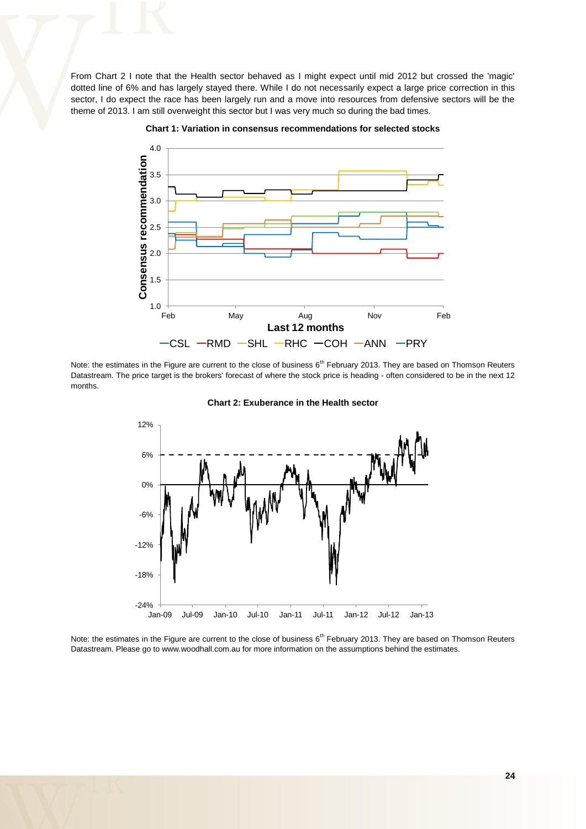From Chart 2 I note that the Health sector behaved as I might expect until mid 2012 but crossed the 'magic' dotted line of 6% and has largely stayed there. While I do not necessarily expect a large price correction in this sector, I do expect the race has been largely run and a move into resources from defensive sectors will be the theme of 2013. I am still overweight this sector but I was very much so during the bad times.





Note: the estimates in the Figure are current to the close of business  $6<sup>th</sup>$  February 2013. They are based on Thomson Reuters Datastream. The price target is the brokers' forecast of where the stock price is heading - often considered to be in the next 12 months.



**Chart 2: Exuberance in the Health sector** 

Note: the estimates in the Figure are current to the close of business  $6<sup>th</sup>$  February 2013. They are based on Thomson Reuters Datastream. Please go to www.woodhall.com.au for more information on the assumptions behind the estimates.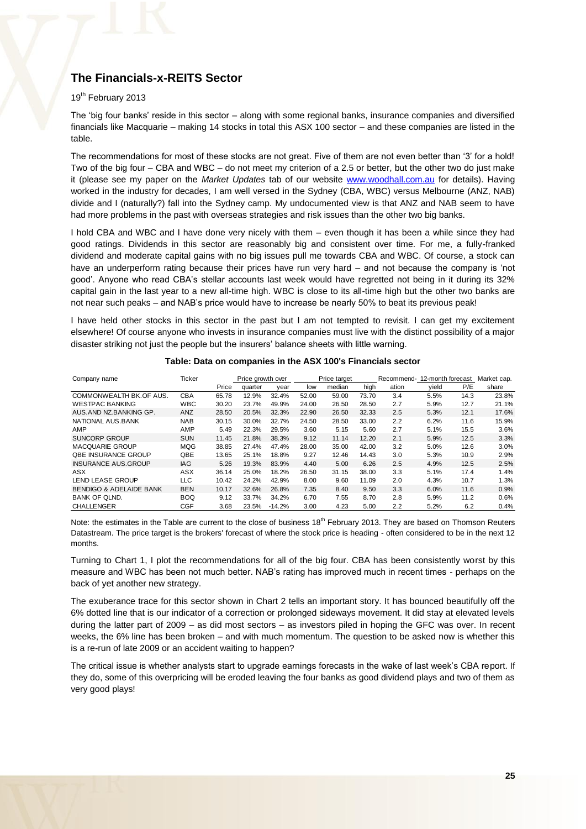## **The Financials-x-REITS Sector**

#### 19<sup>th</sup> February 2013

The 'big four banks' reside in this sector – along with some regional banks, insurance companies and diversified financials like Macquarie – making 14 stocks in total this ASX 100 sector – and these companies are listed in the table.

The recommendations for most of these stocks are not great. Five of them are not even better than '3' for a hold! Two of the big four – CBA and WBC – do not meet my criterion of a 2.5 or better, but the other two do just make it (please see my paper on the *Market Updates* tab of our website [www.woodhall.com.au](http://www.woodhall.com.au/) for details). Having worked in the industry for decades, I am well versed in the Sydney (CBA, WBC) versus Melbourne (ANZ, NAB) divide and I (naturally?) fall into the Sydney camp. My undocumented view is that ANZ and NAB seem to have had more problems in the past with overseas strategies and risk issues than the other two big banks.

I hold CBA and WBC and I have done very nicely with them – even though it has been a while since they had good ratings. Dividends in this sector are reasonably big and consistent over time. For me, a fully-franked dividend and moderate capital gains with no big issues pull me towards CBA and WBC. Of course, a stock can have an underperform rating because their prices have run very hard – and not because the company is 'not good'. Anyone who read CBA's stellar accounts last week would have regretted not being in it during its 32% capital gain in the last year to a new all-time high. WBC is close to its all-time high but the other two banks are not near such peaks – and NAB's price would have to increase be nearly 50% to beat its previous peak!

I have held other stocks in this sector in the past but I am not tempted to revisit. I can get my excitement elsewhere! Of course anyone who invests in insurance companies must live with the distinct possibility of a major disaster striking not just the people but the insurers' balance sheets with little warning.

| Company name                       | Ticker     |       | Price growth over |          | Price target |        |       | Recommend- | 12-month forecast |      | Market cap. |  |
|------------------------------------|------------|-------|-------------------|----------|--------------|--------|-------|------------|-------------------|------|-------------|--|
|                                    |            | Price | quarter           | vear     | low          | median | high  | ation      | yield             | P/E  | share       |  |
| COMMONWEALTH BK.OF AUS.            | <b>CBA</b> | 65.78 | 12.9%             | 32.4%    | 52.00        | 59.00  | 73.70 | 3.4        | 5.5%              | 14.3 | 23.8%       |  |
| <b>WESTPAC BANKING</b>             | <b>WBC</b> | 30.20 | 23.7%             | 49.9%    | 24.00        | 26.50  | 28.50 | 2.7        | 5.9%              | 12.7 | 21.1%       |  |
| AUS AND NZ BANKING GP.             | ANZ        | 28.50 | 20.5%             | 32.3%    | 22.90        | 26.50  | 32.33 | 2.5        | 5.3%              | 12.1 | 17.6%       |  |
| NATIONAL AUS.BANK                  | <b>NAB</b> | 30.15 | 30.0%             | 32.7%    | 24.50        | 28.50  | 33.00 | 2.2        | 6.2%              | 11.6 | 15.9%       |  |
| AMP                                | AMP        | 5.49  | 22.3%             | 29.5%    | 3.60         | 5.15   | 5.60  | 2.7        | 5.1%              | 15.5 | 3.6%        |  |
| SUNCORP GROUP                      | <b>SUN</b> | 11.45 | 21.8%             | 38.3%    | 9.12         | 11.14  | 12.20 | 2.1        | 5.9%              | 12.5 | 3.3%        |  |
| <b>MACQUARIE GROUP</b>             | <b>MQG</b> | 38.85 | 27.4%             | 47.4%    | 28.00        | 35.00  | 42.00 | 3.2        | 5.0%              | 12.6 | 3.0%        |  |
| <b>QBE INSURANCE GROUP</b>         | QBE        | 13.65 | 25.1%             | 18.8%    | 9.27         | 12.46  | 14.43 | 3.0        | 5.3%              | 10.9 | 2.9%        |  |
| <b>INSURANCE AUS GROUP</b>         | IAG        | 5.26  | 19.3%             | 83.9%    | 4.40         | 5.00   | 6.26  | 2.5        | 4.9%              | 12.5 | 2.5%        |  |
| ASX                                | <b>ASX</b> | 36.14 | 25.0%             | 18.2%    | 26.50        | 31.15  | 38.00 | 3.3        | 5.1%              | 17.4 | 1.4%        |  |
| <b>LEND LEASE GROUP</b>            | <b>LLC</b> | 10.42 | 24.2%             | 42.9%    | 8.00         | 9.60   | 11.09 | 2.0        | 4.3%              | 10.7 | 1.3%        |  |
| <b>BENDIGO &amp; ADELAIDE BANK</b> | <b>BEN</b> | 10.17 | 32.6%             | 26.8%    | 7.35         | 8.40   | 9.50  | 3.3        | 6.0%              | 11.6 | 0.9%        |  |
| <b>BANK OF OLND.</b>               | <b>BOQ</b> | 9.12  | 33.7%             | 34.2%    | 6.70         | 7.55   | 8.70  | 2.8        | 5.9%              | 11.2 | 0.6%        |  |
| <b>CHALLENGER</b>                  | <b>CGF</b> | 3.68  | 23.5%             | $-14.2%$ | 3.00         | 4.23   | 5.00  | 2.2        | 5.2%              | 6.2  | 0.4%        |  |

#### **Table: Data on companies in the ASX 100's Financials sector**

Note: the estimates in the Table are current to the close of business  $18<sup>th</sup>$  February 2013. They are based on Thomson Reuters Datastream. The price target is the brokers' forecast of where the stock price is heading - often considered to be in the next 12 months.

Turning to Chart 1, I plot the recommendations for all of the big four. CBA has been consistently worst by this measure and WBC has been not much better. NAB's rating has improved much in recent times - perhaps on the back of yet another new strategy.

The exuberance trace for this sector shown in Chart 2 tells an important story. It has bounced beautifully off the 6% dotted line that is our indicator of a correction or prolonged sideways movement. It did stay at elevated levels during the latter part of 2009 – as did most sectors – as investors piled in hoping the GFC was over. In recent weeks, the 6% line has been broken – and with much momentum. The question to be asked now is whether this is a re-run of late 2009 or an accident waiting to happen?

The critical issue is whether analysts start to upgrade earnings forecasts in the wake of last week's CBA report. If they do, some of this overpricing will be eroded leaving the four banks as good dividend plays and two of them as very good plays!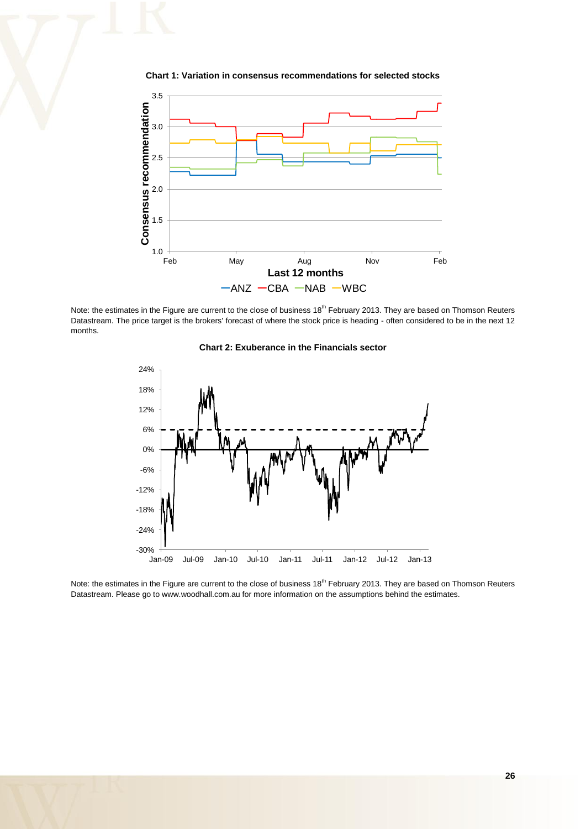

**Chart 1: Variation in consensus recommendations for selected stocks**

Note: the estimates in the Figure are current to the close of business 18<sup>th</sup> February 2013. They are based on Thomson Reuters Datastream. The price target is the brokers' forecast of where the stock price is heading - often considered to be in the next 12 months.





Note: the estimates in the Figure are current to the close of business 18<sup>th</sup> February 2013. They are based on Thomson Reuters Datastream. Please go to www.woodhall.com.au for more information on the assumptions behind the estimates.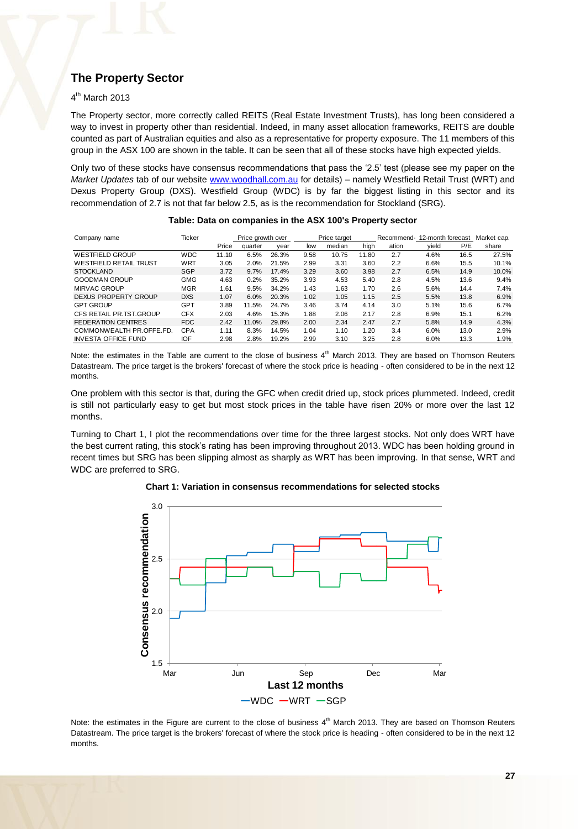## **The Property Sector**

#### 4<sup>th</sup> March 2013

The Property sector, more correctly called REITS (Real Estate Investment Trusts), has long been considered a way to invest in property other than residential. Indeed, in many asset allocation frameworks, REITS are double counted as part of Australian equities and also as a representative for property exposure. The 11 members of this group in the ASX 100 are shown in the table. It can be seen that all of these stocks have high expected yields.

Only two of these stocks have consensus recommendations that pass the '2.5' test (please see my paper on the *Market Updates* tab of our website [www.woodhall.com.au](http://www.woodhall.com.au/) for details) – namely Westfield Retail Trust (WRT) and Dexus Property Group (DXS). Westfield Group (WDC) is by far the biggest listing in this sector and its recommendation of 2.7 is not that far below 2.5, as is the recommendation for Stockland (SRG).

| Company name                  | Ticker     | Price growth over |         |       | Price target |        |       | 12-month forecast<br>Recommend- |       |      | Market cap. |
|-------------------------------|------------|-------------------|---------|-------|--------------|--------|-------|---------------------------------|-------|------|-------------|
|                               |            | Price             | quarter | vear  | low          | median | hiah  | ation                           | vield | P/E  | share       |
| <b>WESTFIELD GROUP</b>        | <b>WDC</b> | 11.10             | 6.5%    | 26.3% | 9.58         | 10.75  | 11.80 | 2.7                             | 4.6%  | 16.5 | 27.5%       |
| <b>WESTFIELD RETAIL TRUST</b> | WRT        | 3.05              | 2.0%    | 21.5% | 2.99         | 3.31   | 3.60  | 2.2                             | 6.6%  | 15.5 | 10.1%       |
| <b>STOCKLAND</b>              | SGP        | 3.72              | 9.7%    | 17.4% | 3.29         | 3.60   | 3.98  | 2.7                             | 6.5%  | 14.9 | 10.0%       |
| <b>GOODMAN GROUP</b>          | <b>GMG</b> | 4.63              | 0.2%    | 35.2% | 3.93         | 4.53   | 5.40  | 2.8                             | 4.5%  | 13.6 | 9.4%        |
| <b>MIRVAC GROUP</b>           | <b>MGR</b> | 1.61              | 9.5%    | 34.2% | 1.43         | 1.63   | 1.70  | 2.6                             | 5.6%  | 14.4 | 7.4%        |
| DEXUS PROPERTY GROUP          | <b>DXS</b> | 1.07              | 6.0%    | 20.3% | 1.02         | 1.05   | 1.15  | 2.5                             | 5.5%  | 13.8 | 6.9%        |
| <b>GPT GROUP</b>              | GPT        | 3.89              | 11.5%   | 24.7% | 3.46         | 3.74   | 4.14  | 3.0                             | 5.1%  | 15.6 | 6.7%        |
| CFS RETAIL PR.TST.GROUP       | <b>CFX</b> | 2.03              | 4.6%    | 15.3% | 1.88         | 2.06   | 2.17  | 2.8                             | 6.9%  | 15.1 | 6.2%        |
| <b>FEDERATION CENTRES</b>     | FDC        | 2.42              | 11.0%   | 29.8% | 2.00         | 2.34   | 2.47  | 2.7                             | 5.8%  | 14.9 | 4.3%        |
| COMMONWEALTH PR.OFFE.FD.      | CPA        | 1.11              | 8.3%    | 14.5% | 1.04         | 1.10   | 1.20  | 3.4                             | 6.0%  | 13.0 | 2.9%        |
| <b>INVESTA OFFICE FUND</b>    | IOF        | 2.98              | 2.8%    | 19.2% | 2.99         | 3.10   | 3.25  | 2.8                             | 6.0%  | 13.3 | 1.9%        |

#### **Table: Data on companies in the ASX 100's Property sector**

Note: the estimates in the Table are current to the close of business 4<sup>th</sup> March 2013. They are based on Thomson Reuters Datastream. The price target is the brokers' forecast of where the stock price is heading - often considered to be in the next 12 months.

One problem with this sector is that, during the GFC when credit dried up, stock prices plummeted. Indeed, credit is still not particularly easy to get but most stock prices in the table have risen 20% or more over the last 12 months.

Turning to Chart 1, I plot the recommendations over time for the three largest stocks. Not only does WRT have the best current rating, this stock's rating has been improving throughout 2013. WDC has been holding ground in recent times but SRG has been slipping almost as sharply as WRT has been improving. In that sense, WRT and WDC are preferred to SRG.



**Chart 1: Variation in consensus recommendations for selected stocks**

Note: the estimates in the Figure are current to the close of business 4<sup>th</sup> March 2013. They are based on Thomson Reuters Datastream. The price target is the brokers' forecast of where the stock price is heading - often considered to be in the next 12 months.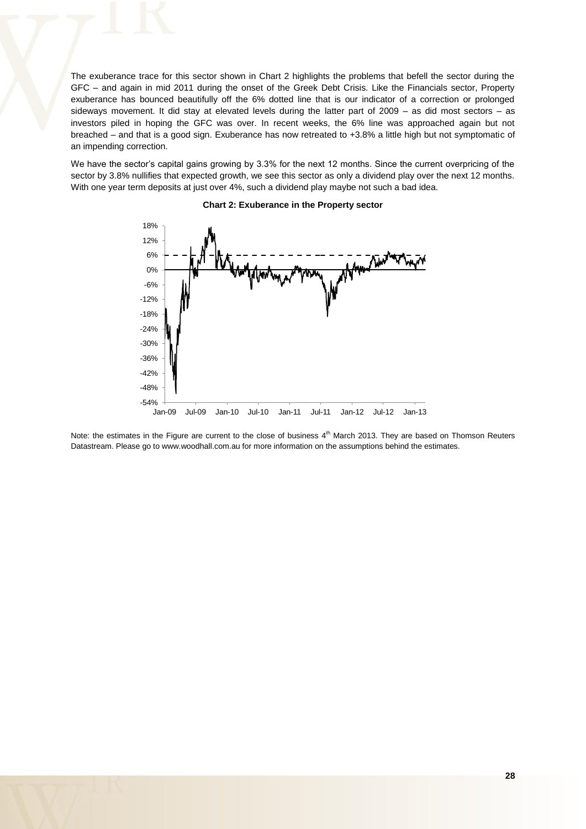The exuberance trace for this sector shown in Chart 2 highlights the problems that befell the sector during the GFC – and again in mid 2011 during the onset of the Greek Debt Crisis. Like the Financials sector, Property exuberance has bounced beautifully off the 6% dotted line that is our indicator of a correction or prolonged sideways movement. It did stay at elevated levels during the latter part of 2009 – as did most sectors – as investors piled in hoping the GFC was over. In recent weeks, the 6% line was approached again but not breached – and that is a good sign. Exuberance has now retreated to +3.8% a little high but not symptomatic of an impending correction.

We have the sector's capital gains growing by 3.3% for the next 12 months. Since the current overpricing of the sector by 3.8% nullifies that expected growth, we see this sector as only a dividend play over the next 12 months. With one year term deposits at just over 4%, such a dividend play maybe not such a bad idea.



#### **Chart 2: Exuberance in the Property sector**

Note: the estimates in the Figure are current to the close of business 4<sup>th</sup> March 2013. They are based on Thomson Reuters Datastream. Please go to www.woodhall.com.au for more information on the assumptions behind the estimates.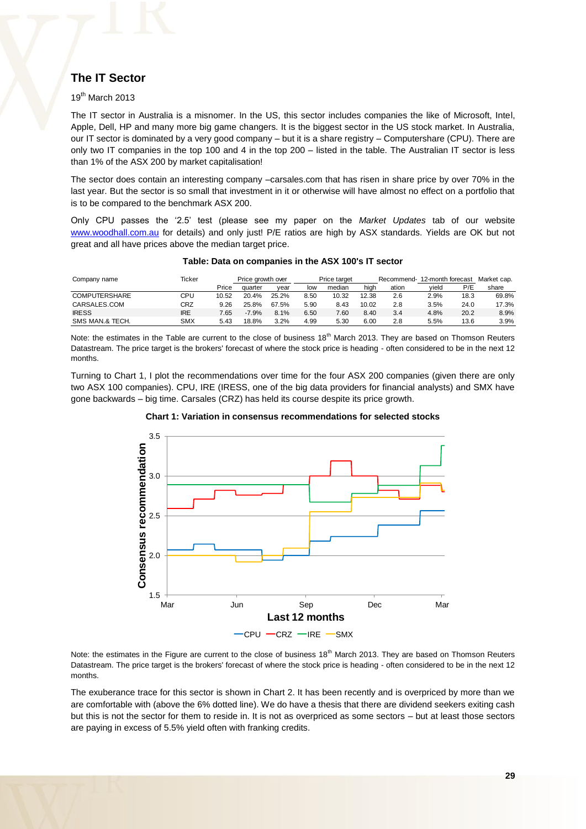## **The IT Sector**

#### 19th March 2013

The IT sector in Australia is a misnomer. In the US, this sector includes companies the like of Microsoft, Intel, Apple, Dell, HP and many more big game changers. It is the biggest sector in the US stock market. In Australia, our IT sector is dominated by a very good company – but it is a share registry – Computershare (CPU). There are only two IT companies in the top 100 and 4 in the top 200 – listed in the table. The Australian IT sector is less than 1% of the ASX 200 by market capitalisation!

The sector does contain an interesting company –carsales.com that has risen in share price by over 70% in the last year. But the sector is so small that investment in it or otherwise will have almost no effect on a portfolio that is to be compared to the benchmark ASX 200.

Only CPU passes the '2.5' test (please see my paper on the *Market Updates* tab of our website [www.woodhall.com.au](http://www.woodhall.com.au/) for details) and only just! P/E ratios are high by ASX standards. Yields are OK but not great and all have prices above the median target price.

| Company name         | Ticker     |       | Price arowth over |       | Price target |        |       |       | Recommend- 12-month forecast |      | Market cap. |
|----------------------|------------|-------|-------------------|-------|--------------|--------|-------|-------|------------------------------|------|-------------|
|                      |            | Price | quarter           | vear  | low          | median | high  | ation | vield                        | P/E  | share       |
| <b>COMPUTERSHARE</b> | CPU        | 10.52 | 20.4%             | 25.2% | 8.50         | 10.32  | 12.38 | 2.6   | 2.9%                         | 18.3 | 69.8%       |
| CARSALES.COM         | CRZ        | 9.26  | 25.8%             | 67.5% | 5.90         | 8.43   | 10.02 | 2.8   | 3.5%                         | 24.0 | 17.3%       |
| <b>IRESS</b>         | <b>IRE</b> | 7.65  | $-7.9%$           | 8.1%  | 6.50         | 7.60   | 8.40  | 3.4   | 4.8%                         | 20.2 | 8.9%        |
| SMS MAN.& TECH.      | <b>SMX</b> | 5.43  | 18.8%             | 3.2%  | 4.99         | 5.30   | 6.00  | 2.8   | 5.5%                         | 13.6 | 3.9%        |

#### **Table: Data on companies in the ASX 100's IT sector**

Note: the estimates in the Table are current to the close of business 18<sup>th</sup> March 2013. They are based on Thomson Reuters Datastream. The price target is the brokers' forecast of where the stock price is heading - often considered to be in the next 12 months.

Turning to Chart 1, I plot the recommendations over time for the four ASX 200 companies (given there are only two ASX 100 companies). CPU, IRE (IRESS, one of the big data providers for financial analysts) and SMX have gone backwards – big time. Carsales (CRZ) has held its course despite its price growth.





Note: the estimates in the Figure are current to the close of business  $18<sup>th</sup>$  March 2013. They are based on Thomson Reuters Datastream. The price target is the brokers' forecast of where the stock price is heading - often considered to be in the next 12 months.

The exuberance trace for this sector is shown in Chart 2. It has been recently and is overpriced by more than we are comfortable with (above the 6% dotted line). We do have a thesis that there are dividend seekers exiting cash but this is not the sector for them to reside in. It is not as overpriced as some sectors – but at least those sectors are paying in excess of 5.5% yield often with franking credits.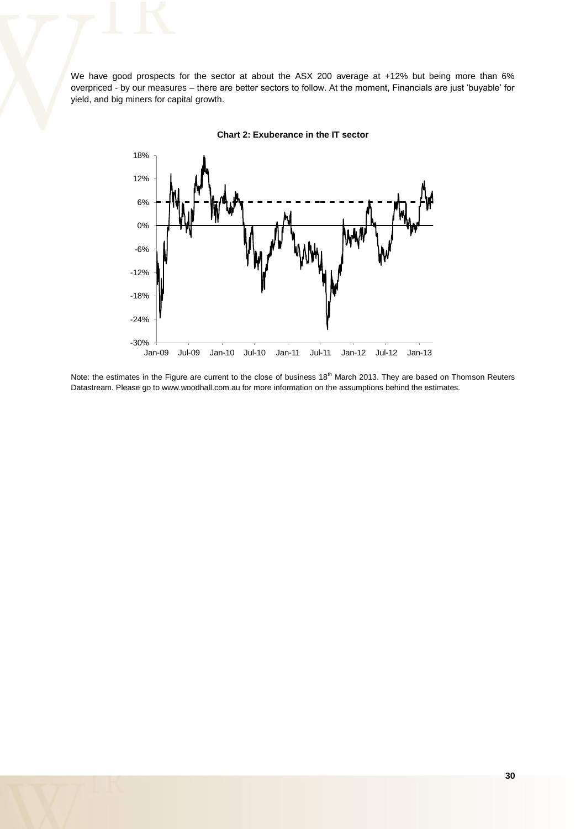We have good prospects for the sector at about the ASX 200 average at +12% but being more than 6% overpriced - by our measures – there are better sectors to follow. At the moment, Financials are just 'buyable' for yield, and big miners for capital growth.



**Chart 2: Exuberance in the IT sector** 

Note: the estimates in the Figure are current to the close of business 18<sup>th</sup> March 2013. They are based on Thomson Reuters Datastream. Please go to www.woodhall.com.au for more information on the assumptions behind the estimates.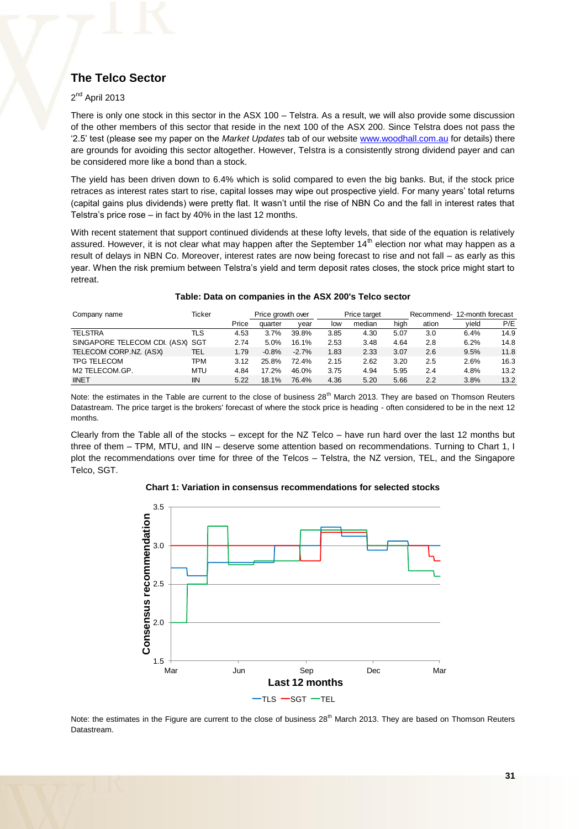## **The Telco Sector**

### 2<sup>nd</sup> April 2013

There is only one stock in this sector in the ASX 100 – Telstra. As a result, we will also provide some discussion of the other members of this sector that reside in the next 100 of the ASX 200. Since Telstra does not pass the '2.5' test (please see my paper on the *Market Updates* tab of our website [www.woodhall.com.au](http://www.woodhall.com.au/) for details) there are grounds for avoiding this sector altogether. However, Telstra is a consistently strong dividend payer and can be considered more like a bond than a stock.

The yield has been driven down to 6.4% which is solid compared to even the big banks. But, if the stock price retraces as interest rates start to rise, capital losses may wipe out prospective yield. For many years' total returns (capital gains plus dividends) were pretty flat. It wasn't until the rise of NBN Co and the fall in interest rates that Telstra's price rose – in fact by 40% in the last 12 months.

With recent statement that support continued dividends at these lofty levels, that side of the equation is relatively assured. However, it is not clear what may happen after the September 14<sup>th</sup> election nor what may happen as a result of delays in NBN Co. Moreover, interest rates are now being forecast to rise and not fall – as early as this year. When the risk premium between Telstra's yield and term deposit rates closes, the stock price might start to retreat.

| Company name                     | Ticker     |       | Price growth over |         | Price target |        |      | Recommend- | 12-month forecast |      |
|----------------------------------|------------|-------|-------------------|---------|--------------|--------|------|------------|-------------------|------|
|                                  |            | Price | quarter           | vear    | low          | median | hiah | ation      | vield             | P/E  |
| <b>TELSTRA</b>                   | πs         | 4.53  | 3.7%              | 39.8%   | 3.85         | 4.30   | 5.07 | 3.0        | 6.4%              | 14.9 |
| SINGAPORE TELECOM CDI. (ASX) SGT |            | 2.74  | 5.0%              | 16.1%   | 2.53         | 3.48   | 4.64 | 2.8        | 6.2%              | 14.8 |
| TELECOM CORP.NZ. (ASX)           | TEL        | 1.79  | $-0.8%$           | $-2.7%$ | 1.83         | 2.33   | 3.07 | 2.6        | 9.5%              | 11.8 |
| <b>TPG TELECOM</b>               | TPM        | 3.12  | 25.8%             | 72.4%   | 2.15         | 2.62   | 3.20 | 2.5        | 2.6%              | 16.3 |
| M2 TELECOM.GP.                   | <b>MTU</b> | 4.84  | 17.2%             | 46.0%   | 3.75         | 4.94   | 5.95 | 2.4        | 4.8%              | 13.2 |
| <b>IINET</b>                     | <b>IIN</b> | 5.22  | 18.1%             | 76.4%   | 4.36         | 5.20   | 5.66 | 2.2        | 3.8%              | 13.2 |

#### **Table: Data on companies in the ASX 200's Telco sector**

Note: the estimates in the Table are current to the close of business 28<sup>th</sup> March 2013. They are based on Thomson Reuters Datastream. The price target is the brokers' forecast of where the stock price is heading - often considered to be in the next 12 months.

Clearly from the Table all of the stocks – except for the NZ Telco – have run hard over the last 12 months but three of them – TPM, MTU, and IIN – deserve some attention based on recommendations. Turning to Chart 1, I plot the recommendations over time for three of the Telcos – Telstra, the NZ version, TEL, and the Singapore Telco, SGT.

#### **Chart 1: Variation in consensus recommendations for selected stocks**



Note: the estimates in the Figure are current to the close of business  $28<sup>th</sup>$  March 2013. They are based on Thomson Reuters Datastream.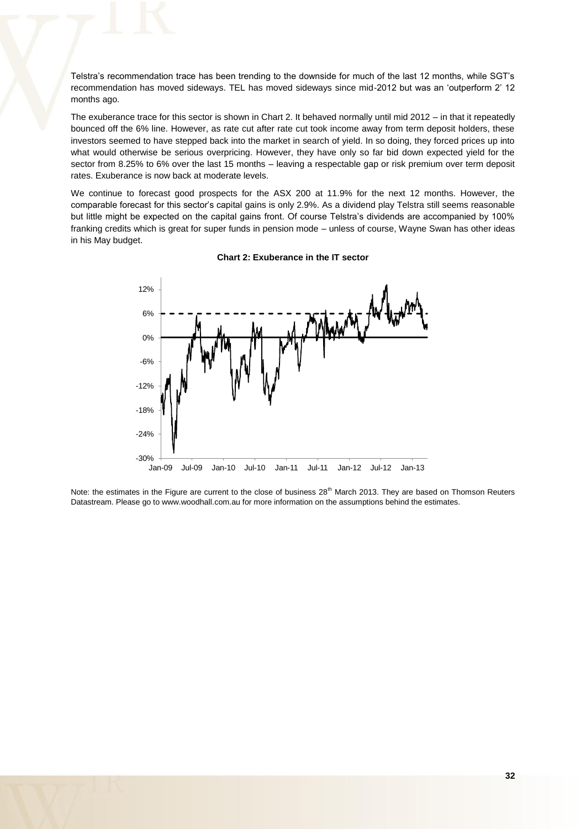Telstra's recommendation trace has been trending to the downside for much of the last 12 months, while SGT's recommendation has moved sideways. TEL has moved sideways since mid-2012 but was an 'outperform 2' 12 months ago.

The exuberance trace for this sector is shown in Chart 2. It behaved normally until mid 2012 – in that it repeatedly bounced off the 6% line. However, as rate cut after rate cut took income away from term deposit holders, these investors seemed to have stepped back into the market in search of yield. In so doing, they forced prices up into what would otherwise be serious overpricing. However, they have only so far bid down expected yield for the sector from 8.25% to 6% over the last 15 months – leaving a respectable gap or risk premium over term deposit rates. Exuberance is now back at moderate levels.

We continue to forecast good prospects for the ASX 200 at 11.9% for the next 12 months. However, the comparable forecast for this sector's capital gains is only 2.9%. As a dividend play Telstra still seems reasonable but little might be expected on the capital gains front. Of course Telstra's dividends are accompanied by 100% franking credits which is great for super funds in pension mode – unless of course, Wayne Swan has other ideas in his May budget.



#### **Chart 2: Exuberance in the IT sector**

Note: the estimates in the Figure are current to the close of business  $28<sup>th</sup>$  March 2013. They are based on Thomson Reuters Datastream. Please go to www.woodhall.com.au for more information on the assumptions behind the estimates.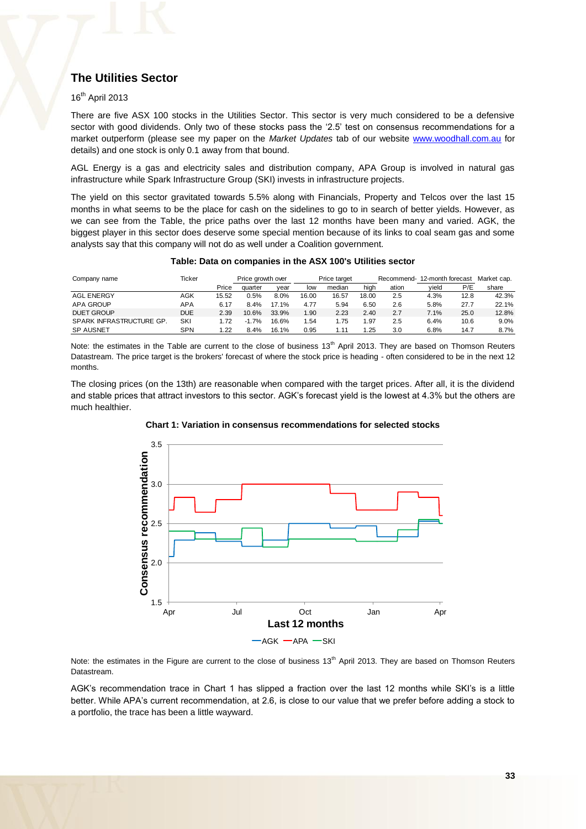## **The Utilities Sector**

### 16th April 2013

There are five ASX 100 stocks in the Utilities Sector. This sector is very much considered to be a defensive sector with good dividends. Only two of these stocks pass the '2.5' test on consensus recommendations for a market outperform (please see my paper on the *Market Updates* tab of our website [www.woodhall.com.au](http://www.woodhall.com.au/) for details) and one stock is only 0.1 away from that bound.

AGL Energy is a gas and electricity sales and distribution company, APA Group is involved in natural gas infrastructure while Spark Infrastructure Group (SKI) invests in infrastructure projects.

The yield on this sector gravitated towards 5.5% along with Financials, Property and Telcos over the last 15 months in what seems to be the place for cash on the sidelines to go to in search of better yields. However, as we can see from the Table, the price paths over the last 12 months have been many and varied. AGK, the biggest player in this sector does deserve some special mention because of its links to coal seam gas and some analysts say that this company will not do as well under a Coalition government.

#### **Table: Data on companies in the ASX 100's Utilities sector**

| Company name             | Ticker     |       | Price growth over |       | Price target |        |       |       | Recommend- 12-month forecast |      | Market cap. |
|--------------------------|------------|-------|-------------------|-------|--------------|--------|-------|-------|------------------------------|------|-------------|
|                          |            | Price | quarter           | vear  | low          | median | high  | ation | vield                        | P/E  | share       |
| <b>AGL ENERGY</b>        | AGK        | 15.52 | 0.5%              | 8.0%  | 16.00        | 16.57  | 18.00 | 2.5   | 4.3%                         | 12.8 | 42.3%       |
| <b>APA GROUP</b>         | APA        | 6.17  | 8.4%              | 17.1% | 4.77         | 5.94   | 6.50  | 2.6   | 5.8%                         | 27.7 | 22.1%       |
| <b>DUET GROUP</b>        | <b>DUE</b> | 2.39  | 10.6%             | 33.9% | 1.90         | 2.23   | 2.40  | 2.7   | 7.1%                         | 25.0 | 12.8%       |
| SPARK INFRASTRUCTURE GP. | SKI        | 1.72  | $-1.7%$           | 16.6% | 1.54         | .75    | l.97  | 2.5   | 6.4%                         | 10.6 | 9.0%        |
| <b>SP AUSNET</b>         | <b>SPN</b> | 1.22  | 8.4%              | 16.1% | 0.95         | 1.11   | 1.25  | 3.0   | 6.8%                         | 14.7 | 8.7%        |

Note: the estimates in the Table are current to the close of business  $13<sup>th</sup>$  April 2013. They are based on Thomson Reuters Datastream. The price target is the brokers' forecast of where the stock price is heading - often considered to be in the next 12 months.

The closing prices (on the 13th) are reasonable when compared with the target prices. After all, it is the dividend and stable prices that attract investors to this sector. AGK's forecast yield is the lowest at 4.3% but the others are much healthier.



**Chart 1: Variation in consensus recommendations for selected stocks**

Note: the estimates in the Figure are current to the close of business  $13<sup>th</sup>$  April 2013. They are based on Thomson Reuters Datastream.

AGK's recommendation trace in Chart 1 has slipped a fraction over the last 12 months while SKI's is a little better. While APA's current recommendation, at 2.6, is close to our value that we prefer before adding a stock to a portfolio, the trace has been a little wayward.